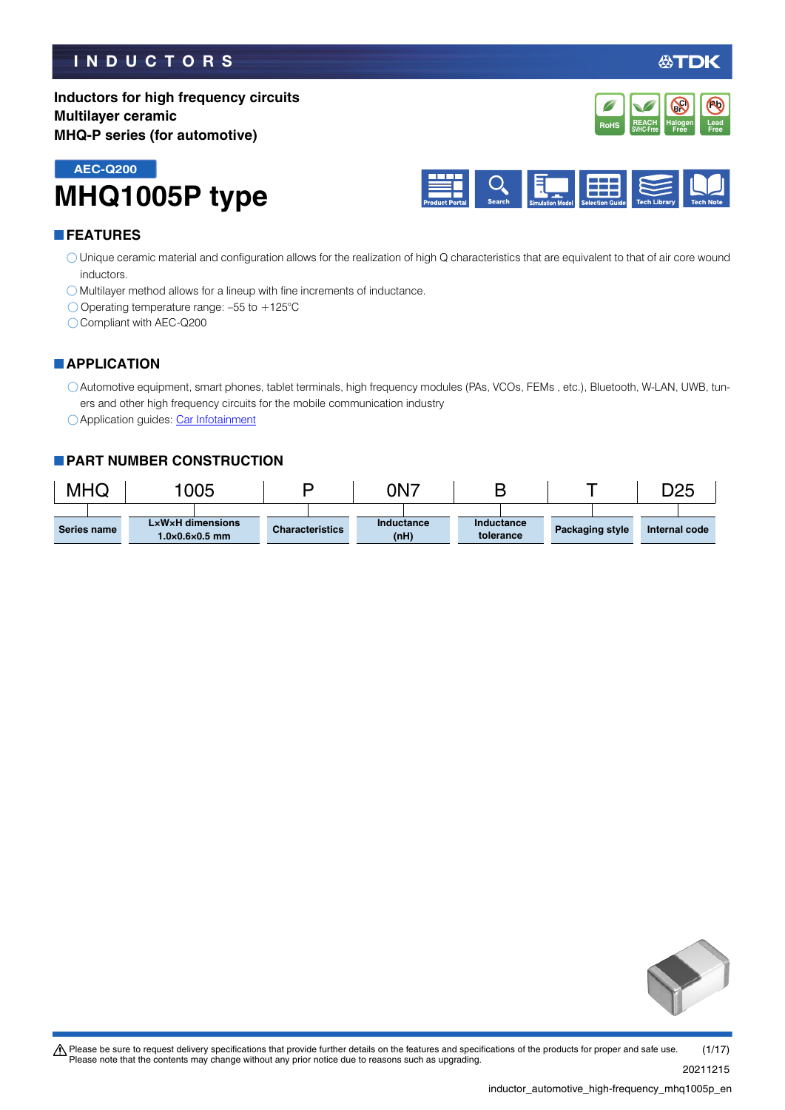### **INDUCTORS**

必TDK

**Inductors for high frequency circuits Multilayer ceramic MHQ-P series (for automotive)**



**MHQ1005P type AEC-Q200**



#### **FEATURES**

Unique ceramic material and configuration allows for the realization of high Q characteristics that are equivalent to that of air core wound inductors.

Multilayer method allows for a lineup with fine increments of inductance.

 $\bigcirc$  Operating temperature range: -55 to +125°C

Compliant with AEC-Q200

### **APPLICATION**

Automotive equipment, smart phones, tablet terminals, high frequency modules (PAs, VCOs, FEMs , etc.), Bluetooth, W-LAN, UWB, tuners and other high frequency circuits for the mobile communication industry

O Application guides: [Car Infotainment](https://product.tdk.com/info/en/applicationguide/car_infotainment/index.html?utm_source=inductor_automotive_high-frequency_mhq1005p_en.pdf&utm_medium=catalog)

#### **PART NUMBER CONSTRUCTION**

| MHQ |             | 1005 |                                                |  |                        | 0N7 |                    |                         |  |  |                        | D25           |  |
|-----|-------------|------|------------------------------------------------|--|------------------------|-----|--------------------|-------------------------|--|--|------------------------|---------------|--|
|     | Series name |      | LxWxH dimensions<br>$1.0\times0.6\times0.5$ mm |  | <b>Characteristics</b> |     | Inductance<br>(nH) | Inductance<br>tolerance |  |  | <b>Packaging style</b> | Internal code |  |



t Please be sure to request delivery specifications that provide further details on the features and specifications of the products for proper and safe use. Please note that the contents may change without any prior notice due to reasons such as upgrading. 20211215 (1/17)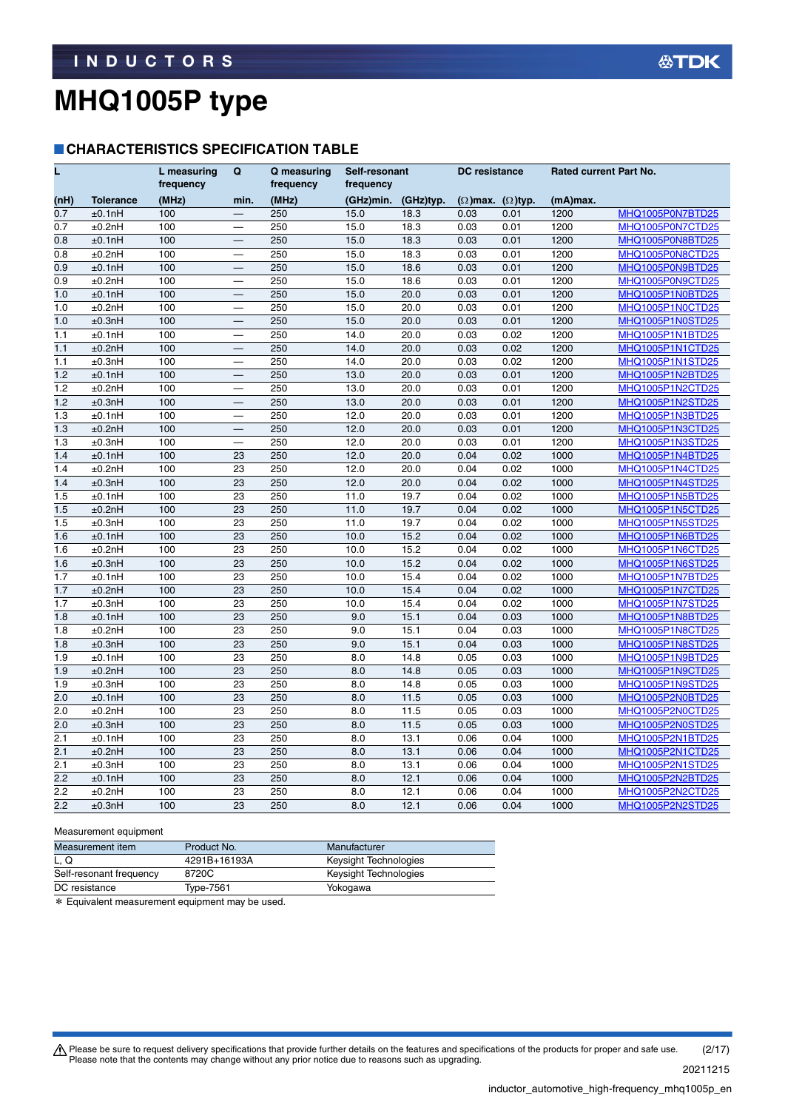#### **CHARACTERISTICS SPECIFICATION TABLE**

| Ĺ                |                  | L measuring<br>frequency | Q                        | Q measuring<br>frequency | Self-resonant<br>frequency |                  | <b>DC</b> resistance            |      | Rated current Part No. |                         |
|------------------|------------------|--------------------------|--------------------------|--------------------------|----------------------------|------------------|---------------------------------|------|------------------------|-------------------------|
| (nH)             | <b>Tolerance</b> | (MHz)                    | min.                     | (MHz)                    | (GHz)min.                  | (GHz)typ.        | $(\Omega)$ max. $(\Omega)$ typ. |      | (mA)max.               |                         |
| 0.7              | ±0.1nH           | 100                      |                          | 250                      | 15.0                       | 18.3             | 0.03                            | 0.01 | 1200                   | MHQ1005P0N7BTD25        |
| 0.7              | ±0.2nH           | 100                      | $\overline{\phantom{0}}$ | 250                      | 15.0                       | 18.3             | 0.03                            | 0.01 | 1200                   | MHQ1005P0N7CTD25        |
| 0.8              | ±0.1nH           | 100                      |                          | 250                      | 15.0                       | 18.3             | 0.03                            | 0.01 | 1200                   | MHQ1005P0N8BTD25        |
| 0.8              | ±0.2nH           | 100                      | $\overline{\phantom{0}}$ | 250                      | 15.0                       | 18.3             | 0.03                            | 0.01 | 1200                   | MHQ1005P0N8CTD25        |
| 0.9              | ±0.1nH           | 100                      |                          | 250                      | 15.0                       | 18.6             | 0.03                            | 0.01 | 1200                   | MHQ1005P0N9BTD25        |
| 0.9              | ±0.2nH           | 100                      |                          | 250                      | 15.0                       | 18.6             | 0.03                            | 0.01 | 1200                   | MHQ1005P0N9CTD25        |
| 1.0              | ±0.1nH           | 100                      | —                        | 250                      | 15.0                       | 20.0             | 0.03                            | 0.01 | 1200                   | MHQ1005P1N0BTD25        |
| 1.0              | ±0.2nH           | 100                      | $\overline{\phantom{0}}$ | 250                      | 15.0                       | 20.0             | 0.03                            | 0.01 | 1200                   | MHQ1005P1N0CTD25        |
| 1.0              | ±0.3nH           | 100                      | $\overline{\phantom{0}}$ | 250                      | 15.0                       | 20.0             | 0.03                            | 0.01 | 1200                   | MHQ1005P1N0STD25        |
| 1.1              | ±0.1nH           | 100                      | $\overline{\phantom{0}}$ | 250                      | 14.0                       | 20.0             | 0.03                            | 0.02 | 1200                   | MHQ1005P1N1BTD25        |
| 1.1              | ±0.2nH           | 100                      |                          | 250                      | 14.0                       | 20.0             | 0.03                            | 0.02 | 1200                   | MHQ1005P1N1CTD25        |
| 1.1              | ±0.3nH           | 100                      |                          | 250                      | 14.0                       | 20.0             | 0.03                            | 0.02 | 1200                   | <b>MHQ1005P1N1STD25</b> |
| 1.2              | ±0.1nH           | 100                      |                          | 250                      | 13.0                       | 20.0             | 0.03                            | 0.01 | 1200                   | MHQ1005P1N2BTD25        |
| 1.2              | ±0.2nH           | 100                      |                          | 250                      | 13.0                       | 20.0             | 0.03                            | 0.01 | 1200                   | MHQ1005P1N2CTD25        |
| 1.2              | ±0.3nH           | 100                      | $\overline{\phantom{0}}$ | 250                      | 13.0                       | 20.0             | 0.03                            | 0.01 | 1200                   | MHQ1005P1N2STD25        |
| 1.3              | ±0.1nH           | 100                      | $\overline{\phantom{0}}$ | 250                      | 12.0                       | 20.0             | 0.03                            | 0.01 | 1200                   | MHQ1005P1N3BTD25        |
| 1.3              | ±0.2nH           | 100                      |                          | 250                      | 12.0                       | 20.0             | 0.03                            | 0.01 | 1200                   | MHQ1005P1N3CTD25        |
| 1.3              | ±0.3nH           | 100                      |                          | 250                      | 12.0                       | 20.0             | 0.03                            | 0.01 | 1200                   | MHQ1005P1N3STD25        |
| 1.4              | ±0.1nH           | 100                      | 23                       | 250                      | 12.0                       | 20.0             | 0.04                            | 0.02 | 1000                   | MHQ1005P1N4BTD25        |
| 1.4              | ±0.2nH           | 100                      | 23                       | 250                      | 12.0                       | 20.0             | 0.04                            | 0.02 | 1000                   | MHQ1005P1N4CTD25        |
| 1.4              | ±0.3nH           | 100                      | 23                       | 250                      | 12.0                       | 20.0             | 0.04                            | 0.02 | 1000                   | MHQ1005P1N4STD25        |
| 1.5              | ±0.1nH           | 100                      | 23                       | 250                      | 11.0                       | 19.7             | 0.04                            | 0.02 | 1000                   | MHQ1005P1N5BTD25        |
| 1.5              | ±0.2nH           | 100                      | 23                       | 250                      | 11.0                       | 19.7             | 0.04                            | 0.02 | 1000                   | MHQ1005P1N5CTD25        |
| 1.5              | ±0.3nH           | 100                      | 23                       | 250                      | 11.0                       | 19.7             | 0.04                            | 0.02 | 1000                   | MHQ1005P1N5STD25        |
| 1.6              | ±0.1nH           | 100                      | 23                       | 250                      | 10.0                       | $\frac{15.2}{2}$ | 0.04                            | 0.02 | 1000                   | MHQ1005P1N6BTD25        |
| 1.6              | ±0.2nH           | 100                      | 23                       | 250                      | 10.0                       | 15.2             | 0.04                            | 0.02 | 1000                   | MHQ1005P1N6CTD25        |
| 1.6              | ±0.3nH           | 100                      | 23                       | 250                      | 10.0                       | 15.2             | 0.04                            | 0.02 | 1000                   | MHQ1005P1N6STD25        |
| 1.7              | ±0.1nH           | 100                      | 23                       | 250                      | 10.0                       | 15.4             | 0.04                            | 0.02 | 1000                   | MHQ1005P1N7BTD25        |
| 1.7              | ±0.2nH           | 100                      | 23                       | 250                      | 10.0                       | 15.4             | 0.04                            | 0.02 | 1000                   | MHQ1005P1N7CTD25        |
| 1.7              | ±0.3nH           | 100                      | 23                       | 250                      | 10.0                       | 15.4             | 0.04                            | 0.02 | 1000                   | MHQ1005P1N7STD25        |
| 1.8              | ±0.1nH           | 100                      | 23                       | 250                      | 9.0                        | 15.1             | 0.04                            | 0.03 | 1000                   | MHQ1005P1N8BTD25        |
| 1.8              | ±0.2nH           | 100                      | 23                       | 250                      | 9.0                        | 15.1             | 0.04                            | 0.03 | 1000                   | MHQ1005P1N8CTD25        |
| 1.8              | ±0.3nH           | 100                      | 23                       | 250                      | 9.0                        | 15.1             | 0.04                            | 0.03 | 1000                   | <b>MHQ1005P1N8STD25</b> |
| 1.9              | ±0.1nH           | 100                      | 23                       | 250                      | 8.0                        | 14.8             | 0.05                            | 0.03 | 1000                   | MHQ1005P1N9BTD25        |
| 1.9              | ±0.2nH           | 100                      | 23                       | 250                      | 8.0                        | 14.8             | 0.05                            | 0.03 | 1000                   | MHQ1005P1N9CTD25        |
| 1.9              | ±0.3nH           | 100                      | 23                       | 250                      | 8.0                        | 14.8             | 0.05                            | 0.03 | 1000                   | MHQ1005P1N9STD25        |
| 2.0              | ±0.1nH           | 100                      | 23                       | 250                      | 8.0                        | 11.5             | 0.05                            | 0.03 | 1000                   | MHQ1005P2N0BTD25        |
| 2.0              | ±0.2nH           | 100                      | 23                       | 250                      | 8.0                        | 11.5             | 0.05                            | 0.03 | 1000                   | MHQ1005P2N0CTD25        |
| 2.0              | ±0.3nH           | 100                      | 23                       | 250                      | 8.0                        | 11.5             | 0.05                            | 0.03 | 1000                   | MHQ1005P2N0STD25        |
| $\overline{2.1}$ | ±0.1nH           | 100                      | 23                       | 250                      | 8.0                        | 13.1             | 0.06                            | 0.04 | 1000                   | MHQ1005P2N1BTD25        |
| 2.1              | ±0.2nH           | 100                      | 23                       | 250                      | 8.0                        | 13.1             | 0.06                            | 0.04 | 1000                   | MHQ1005P2N1CTD25        |
| 2.1              | ±0.3nH           | 100                      | 23                       | 250                      | 8.0                        | 13.1             | 0.06                            | 0.04 | 1000                   | MHQ1005P2N1STD25        |
| 2.2              | ±0.1nH           | 100                      | 23                       | 250                      | 8.0                        | 12.1             | 0.06                            | 0.04 | 1000                   | MHQ1005P2N2BTD25        |
| 2.2              | ±0.2nH           | 100                      | 23                       | 250                      | 8.0                        | 12.1             | 0.06                            | 0.04 | 1000                   | MHQ1005P2N2CTD25        |
| 2.2              | ±0.3nH           | 100                      | 23                       | 250                      | 8.0                        | 12.1             | 0.06                            | 0.04 | 1000                   | <b>MHQ1005P2N2STD25</b> |

#### Measurement equipment

| Measurement item        | Product No.  | Manufacturer          |
|-------------------------|--------------|-----------------------|
| L. Q                    | 4291B+16193A | Keysight Technologies |
| Self-resonant frequency | 8720C        | Keysight Technologies |
| DC resistance           | Type-7561    | Yokogawa              |

\* Equivalent measurement equipment may be used.

Please be sure to request delivery specifications that provide further details on the features and specifications of the products for proper and safe use.<br>Please note that the contents may change without any prior notice d 20211215 (2/17)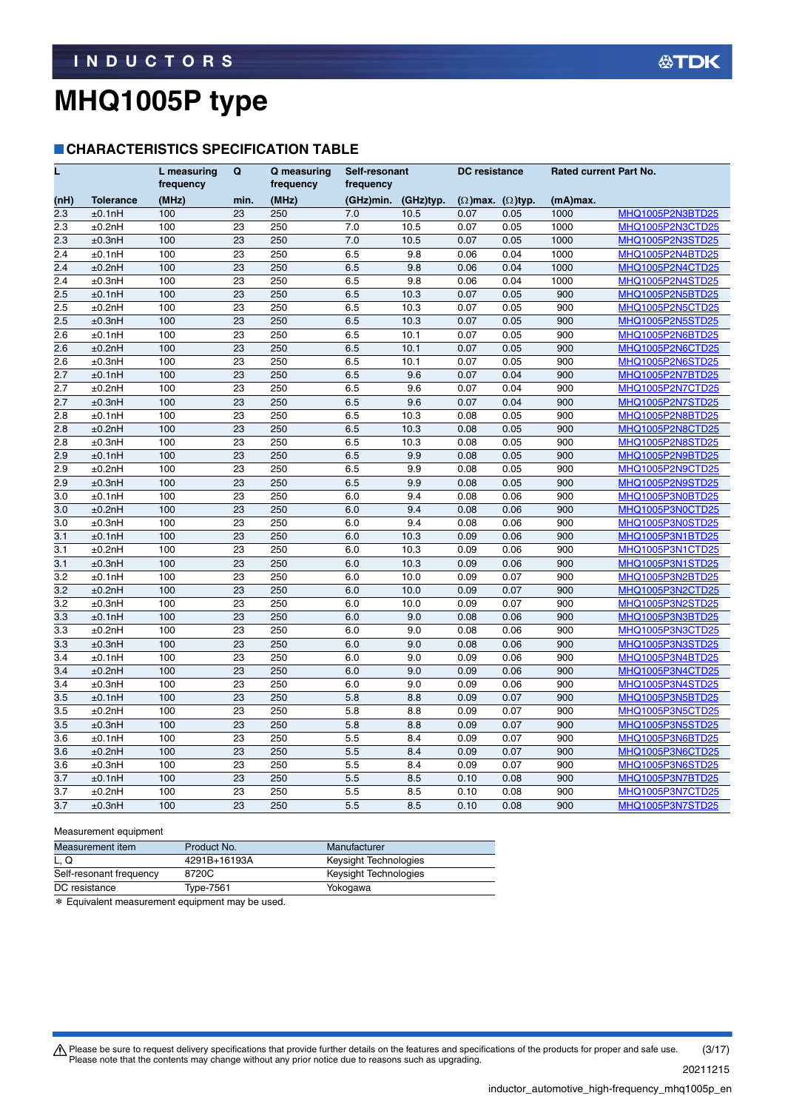#### **CHARACTERISTICS SPECIFICATION TABLE**

| L                |                  | L measuring<br>frequency | Q    | Q measuring<br>frequency | Self-resonant<br>frequency |           | <b>DC</b> resistance            |      | <b>Rated current Part No.</b> |                         |
|------------------|------------------|--------------------------|------|--------------------------|----------------------------|-----------|---------------------------------|------|-------------------------------|-------------------------|
| (nH)             | <b>Tolerance</b> | (MHz)                    | min. | (MHz)                    | (GHz)min.                  | (GHz)typ. | $(\Omega)$ max. $(\Omega)$ typ. |      | $(mA)$ max.                   |                         |
| 2.3              | ±0.1nH           | 100                      | 23   | 250                      | 7.0                        | 10.5      | 0.07                            | 0.05 | 1000                          | MHQ1005P2N3BTD25        |
| 2.3              | ±0.2nH           | 100                      | 23   | 250                      | 7.0                        | 10.5      | 0.07                            | 0.05 | 1000                          | MHQ1005P2N3CTD25        |
| 2.3              | ±0.3nH           | 100                      | 23   | 250                      | 7.0                        | 10.5      | 0.07                            | 0.05 | 1000                          | MHQ1005P2N3STD25        |
| 2.4              | ±0.1nH           | 100                      | 23   | 250                      | 6.5                        | 9.8       | 0.06                            | 0.04 | 1000                          | MHQ1005P2N4BTD25        |
| 2.4              | ±0.2nH           | 100                      | 23   | 250                      | 6.5                        | 9.8       | 0.06                            | 0.04 | 1000                          | MHQ1005P2N4CTD25        |
| 2.4              | ±0.3nH           | 100                      | 23   | 250                      | 6.5                        | 9.8       | 0.06                            | 0.04 | 1000                          | MHQ1005P2N4STD25        |
| 2.5              | ±0.1nH           | 100                      | 23   | 250                      | 6.5                        | 10.3      | 0.07                            | 0.05 | 900                           | MHQ1005P2N5BTD25        |
| 2.5              | ±0.2nH           | 100                      | 23   | 250                      | 6.5                        | 10.3      | 0.07                            | 0.05 | 900                           | MHQ1005P2N5CTD25        |
| $\overline{2.5}$ | ±0.3nH           | 100                      | 23   | 250                      | 6.5                        | 10.3      | 0.07                            | 0.05 | 900                           | MHQ1005P2N5STD25        |
| 2.6              | ±0.1nH           | 100                      | 23   | 250                      | 6.5                        | 10.1      | 0.07                            | 0.05 | 900                           | MHQ1005P2N6BTD25        |
| 2.6              | ±0.2nH           | 100                      | 23   | 250                      | 6.5                        | 10.1      | 0.07                            | 0.05 | 900                           | MHQ1005P2N6CTD25        |
| 2.6              | ±0.3nH           | 100                      | 23   | 250                      | 6.5                        | 10.1      | 0.07                            | 0.05 | 900                           | MHQ1005P2N6STD25        |
| 2.7              | ±0.1nH           | 100                      | 23   | 250                      | 6.5                        | 9.6       | 0.07                            | 0.04 | 900                           | <b>MHQ1005P2N7BTD25</b> |
| 2.7              | ±0.2nH           | 100                      | 23   | 250                      | 6.5                        | 9.6       | 0.07                            | 0.04 | 900                           | MHQ1005P2N7CTD25        |
| 2.7              | ±0.3nH           | 100                      | 23   | 250                      | 6.5                        | 9.6       | 0.07                            | 0.04 | 900                           | MHQ1005P2N7STD25        |
| 2.8              | ±0.1nH           | 100                      | 23   | 250                      | 6.5                        | 10.3      | 0.08                            | 0.05 | 900                           | MHQ1005P2N8BTD25        |
| 2.8              | ±0.2nH           | 100                      | 23   | 250                      | 6.5                        | 10.3      | 0.08                            | 0.05 | 900                           | MHQ1005P2N8CTD25        |
| $\overline{2.8}$ | ±0.3nH           | 100                      | 23   | 250                      | 6.5                        | 10.3      | 0.08                            | 0.05 | 900                           | <b>MHQ1005P2N8STD25</b> |
| 2.9              | ±0.1nH           | 100                      | 23   | 250                      | 6.5                        | 9.9       | 0.08                            | 0.05 | 900                           | MHQ1005P2N9BTD25        |
| 2.9              | ±0.2nH           | 100                      | 23   | 250                      | 6.5                        | 9.9       | 0.08                            | 0.05 | 900                           | MHQ1005P2N9CTD25        |
| 2.9              | ±0.3nH           | 100                      | 23   | 250                      | 6.5                        | 9.9       | 0.08                            | 0.05 | 900                           | MHQ1005P2N9STD25        |
| 3.0              | ±0.1nH           | 100                      | 23   | 250                      | 6.0                        | 9.4       | 0.08                            | 0.06 | 900                           | MHQ1005P3N0BTD25        |
| 3.0              | ±0.2nH           | 100                      | 23   | 250                      | 6.0                        | 9.4       | 0.08                            | 0.06 | 900                           | MHQ1005P3N0CTD25        |
| 3.0              | ±0.3nH           | 100                      | 23   | 250                      | 6.0                        | 9.4       | 0.08                            | 0.06 | 900                           | MHQ1005P3N0STD25        |
| 3.1              | ±0.1nH           | 100                      | 23   | 250                      | 6.0                        | 10.3      | 0.09                            | 0.06 | 900                           | MHQ1005P3N1BTD25        |
| 3.1              | ±0.2nH           | 100                      | 23   | 250                      | 6.0                        | 10.3      | 0.09                            | 0.06 | 900                           | MHQ1005P3N1CTD25        |
| 3.1              | ±0.3nH           | 100                      | 23   | 250                      | 6.0                        | 10.3      | 0.09                            | 0.06 | 900                           | MHQ1005P3N1STD25        |
| 3.2              | ±0.1nH           | 100                      | 23   | 250                      | 6.0                        | 10.0      | 0.09                            | 0.07 | 900                           | MHQ1005P3N2BTD25        |
| 3.2              | ±0.2nH           | 100                      | 23   | 250                      | 6.0                        | 10.0      | 0.09                            | 0.07 | 900                           | MHQ1005P3N2CTD25        |
| 3.2              | ±0.3nH           | 100                      | 23   | 250                      | 6.0                        | 10.0      | 0.09                            | 0.07 | 900                           | MHQ1005P3N2STD25        |
| 3.3              | ±0.1nH           | 100                      | 23   | 250                      | 6.0                        | 9.0       | 0.08                            | 0.06 | 900                           | MHQ1005P3N3BTD25        |
| 3.3              | ±0.2nH           | 100                      | 23   | 250                      | 6.0                        | 9.0       | 0.08                            | 0.06 | 900                           | MHQ1005P3N3CTD25        |
| 3.3              | ±0.3nH           | 100                      | 23   | 250                      | 6.0                        | 9.0       | 0.08                            | 0.06 | 900                           | MHQ1005P3N3STD25        |
| 3.4              | ±0.1nH           | 100                      | 23   | 250                      | 6.0                        | 9.0       | 0.09                            | 0.06 | 900                           | MHQ1005P3N4BTD25        |
| 3.4              | ±0.2nH           | 100                      | 23   | 250                      | 6.0                        | 9.0       | 0.09                            | 0.06 | 900                           | MHQ1005P3N4CTD25        |
| 3.4              | ±0.3nH           | 100                      | 23   | 250                      | 6.0                        | 9.0       | 0.09                            | 0.06 | 900                           | MHQ1005P3N4STD25        |
| 3.5              | ±0.1nH           | 100                      | 23   | 250                      | 5.8                        | 8.8       | 0.09                            | 0.07 | 900                           | MHQ1005P3N5BTD25        |
| 3.5              | ±0.2nH           | 100                      | 23   | 250                      | 5.8                        | 8.8       | 0.09                            | 0.07 | 900                           | MHQ1005P3N5CTD25        |
| 3.5              | ±0.3nH           | 100                      | 23   | 250                      | 5.8                        | 8.8       | 0.09                            | 0.07 | 900                           | <b>MHQ1005P3N5STD25</b> |
| 3.6              | ±0.1nH           | 100                      | 23   | 250                      | 5.5                        | 8.4       | 0.09                            | 0.07 | 900                           | MHQ1005P3N6BTD25        |
| 3.6              | ±0.2nH           | 100                      | 23   | 250                      | 5.5                        | 8.4       | 0.09                            | 0.07 | 900                           | MHQ1005P3N6CTD25        |
| 3.6              | ±0.3nH           | 100                      | 23   | 250                      | 5.5                        | 8.4       | 0.09                            | 0.07 | 900                           | MHQ1005P3N6STD25        |
| 3.7              | ±0.1nH           | 100                      | 23   | 250                      | 5.5                        | 8.5       | 0.10                            | 0.08 | 900                           | MHQ1005P3N7BTD25        |
| 3.7              | ±0.2nH           | 100                      | 23   | 250                      | 5.5                        | 8.5       | 0.10                            | 0.08 | 900                           | MHQ1005P3N7CTD25        |
| 3.7              | ±0.3nH           | 100                      | 23   | 250                      | 5.5                        | 8.5       | 0.10                            | 0.08 | 900                           | MHQ1005P3N7STD25        |

#### Measurement equipment

| Measurement item        | Product No.  | Manufacturer          |
|-------------------------|--------------|-----------------------|
| L. Q                    | 4291B+16193A | Keysight Technologies |
| Self-resonant frequency | 8720C        | Keysight Technologies |
| DC resistance           | Type-7561    | Yokogawa              |

\* Equivalent measurement equipment may be used.

Please be sure to request delivery specifications that provide further details on the features and specifications of the products for proper and safe use.<br>Please note that the contents may change without any prior notice d 20211215 (3/17)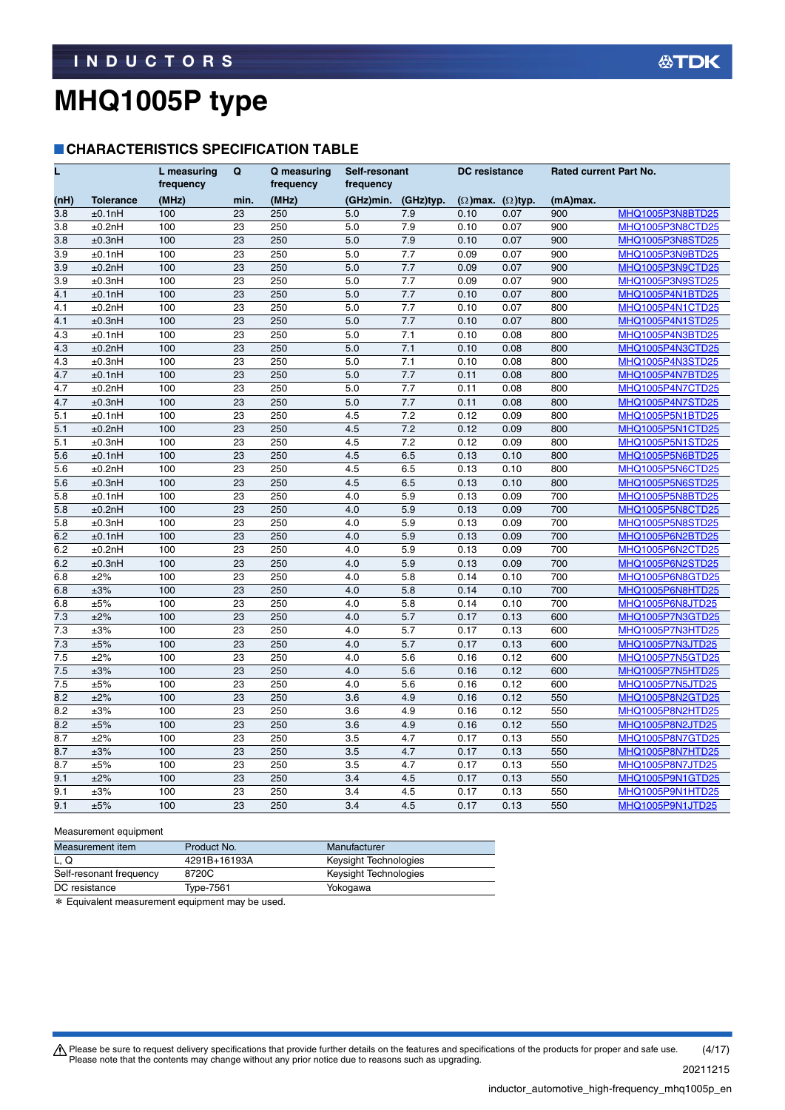#### **CHARACTERISTICS SPECIFICATION TABLE**

| L    |                  | L measuring<br>frequency | Q    | Q measuring<br>frequency | Self-resonant<br>frequency |           | <b>DC</b> resistance            |      | Rated current Part No. |                         |
|------|------------------|--------------------------|------|--------------------------|----------------------------|-----------|---------------------------------|------|------------------------|-------------------------|
| (nH) | <b>Tolerance</b> | (MHz)                    | min. | (MHz)                    | (GHz)min.                  | (GHz)typ. | $(\Omega)$ max. $(\Omega)$ typ. |      | (mA)max.               |                         |
| 3.8  | ±0.1nH           | 100                      | 23   | 250                      | 5.0                        | 7.9       | 0.10                            | 0.07 | 900                    | MHQ1005P3N8BTD25        |
| 3.8  | ±0.2nH           | 100                      | 23   | 250                      | 5.0                        | 7.9       | 0.10                            | 0.07 | 900                    | MHQ1005P3N8CTD25        |
| 3.8  | ±0.3nH           | 100                      | 23   | 250                      | 5.0                        | 7.9       | 0.10                            | 0.07 | 900                    | <b>MHQ1005P3N8STD25</b> |
| 3.9  | ±0.1nH           | 100                      | 23   | 250                      | 5.0                        | 7.7       | 0.09                            | 0.07 | 900                    | MHQ1005P3N9BTD25        |
| 3.9  | ±0.2nH           | 100                      | 23   | 250                      | 5.0                        | 7.7       | 0.09                            | 0.07 | 900                    | MHQ1005P3N9CTD25        |
| 3.9  | ±0.3nH           | 100                      | 23   | 250                      | 5.0                        | 7.7       | 0.09                            | 0.07 | 900                    | MHQ1005P3N9STD25        |
| 4.1  | ±0.1nH           | 100                      | 23   | 250                      | 5.0                        | 7.7       | 0.10                            | 0.07 | 800                    | MHQ1005P4N1BTD25        |
| 4.1  | ±0.2nH           | 100                      | 23   | 250                      | 5.0                        | 7.7       | 0.10                            | 0.07 | 800                    | MHQ1005P4N1CTD25        |
| 4.1  | ±0.3nH           | 100                      | 23   | 250                      | 5.0                        | 7.7       | 0.10                            | 0.07 | 800                    | MHQ1005P4N1STD25        |
| 4.3  | ±0.1nH           | 100                      | 23   | 250                      | 5.0                        | 7.1       | 0.10                            | 0.08 | 800                    | MHQ1005P4N3BTD25        |
| 4.3  | ±0.2nH           | 100                      | 23   | 250                      | 5.0                        | 7.1       | 0.10                            | 0.08 | 800                    | MHQ1005P4N3CTD25        |
| 4.3  | ±0.3nH           | 100                      | 23   | 250                      | 5.0                        | 7.1       | 0.10                            | 0.08 | 800                    | MHQ1005P4N3STD25        |
| 4.7  | ±0.1nH           | 100                      | 23   | 250                      | 5.0                        | 7.7       | 0.11                            | 0.08 | 800                    | MHQ1005P4N7BTD25        |
| 4.7  | ±0.2nH           | 100                      | 23   | 250                      | 5.0                        | 7.7       | 0.11                            | 0.08 | 800                    | MHQ1005P4N7CTD25        |
| 4.7  | ±0.3nH           | 100                      | 23   | 250                      | 5.0                        | 7.7       | 0.11                            | 0.08 | 800                    | MHQ1005P4N7STD25        |
| 5.1  | ±0.1nH           | 100                      | 23   | 250                      | 4.5                        | 7.2       | 0.12                            | 0.09 | 800                    | MHQ1005P5N1BTD25        |
| 5.1  | ±0.2nH           | 100                      | 23   | 250                      | 4.5                        | 7.2       | 0.12                            | 0.09 | 800                    | MHQ1005P5N1CTD25        |
| 5.1  | ±0.3nH           | 100                      | 23   | 250                      | 4.5                        | 7.2       | 0.12                            | 0.09 | 800                    | MHQ1005P5N1STD25        |
| 5.6  | ±0.1nH           | 100                      | 23   | 250                      | 4.5                        | 6.5       | 0.13                            | 0.10 | 800                    | MHQ1005P5N6BTD25        |
| 5.6  | ±0.2nH           | 100                      | 23   | 250                      | 4.5                        | 6.5       | 0.13                            | 0.10 | 800                    | MHQ1005P5N6CTD25        |
| 5.6  | ±0.3nH           | 100                      | 23   | 250                      | 4.5                        | 6.5       | 0.13                            | 0.10 | 800                    | MHQ1005P5N6STD25        |
| 5.8  | ±0.1nH           | 100                      | 23   | 250                      | 4.0                        | 5.9       | 0.13                            | 0.09 | 700                    | MHQ1005P5N8BTD25        |
| 5.8  | ±0.2nH           | 100                      | 23   | 250                      | 4.0                        | 5.9       | 0.13                            | 0.09 | 700                    | MHQ1005P5N8CTD25        |
| 5.8  | ±0.3nH           | 100                      | 23   | 250                      | 4.0                        | 5.9       | 0.13                            | 0.09 | 700                    | MHQ1005P5N8STD25        |
| 6.2  | ±0.1nH           | 100                      | 23   | 250                      | 4.0                        | 5.9       | 0.13                            | 0.09 | 700                    | MHQ1005P6N2BTD25        |
| 6.2  | ±0.2nH           | 100                      | 23   | 250                      | 4.0                        | 5.9       | 0.13                            | 0.09 | 700                    | MHQ1005P6N2CTD25        |
| 6.2  | ±0.3nH           | 100                      | 23   | 250                      | 4.0                        | 5.9       | 0.13                            | 0.09 | 700                    | MHQ1005P6N2STD25        |
| 6.8  | ±2%              | 100                      | 23   | 250                      | 4.0                        | 5.8       | 0.14                            | 0.10 | 700                    | MHQ1005P6N8GTD25        |
| 6.8  | ±3%              | 100                      | 23   | 250                      | 4.0                        | 5.8       | 0.14                            | 0.10 | 700                    | MHQ1005P6N8HTD25        |
| 6.8  | ±5%              | 100                      | 23   | 250                      | 4.0                        | 5.8       | 0.14                            | 0.10 | 700                    | MHQ1005P6N8JTD25        |
| 7.3  | ±2%              | 100                      | 23   | 250                      | 4.0                        | 5.7       | 0.17                            | 0.13 | 600                    | MHQ1005P7N3GTD25        |
| 7.3  | ±3%              | 100                      | 23   | 250                      | 4.0                        | 5.7       | 0.17                            | 0.13 | 600                    | MHQ1005P7N3HTD25        |
| 7.3  | ±5%              | 100                      | 23   | 250                      | 4.0                        | 5.7       | 0.17                            | 0.13 | 600                    | <b>MHQ1005P7N3JTD25</b> |
| 7.5  | ±2%              | 100                      | 23   | 250                      | 4.0                        | 5.6       | 0.16                            | 0.12 | 600                    | MHQ1005P7N5GTD25        |
| 7.5  | ±3%              | 100                      | 23   | 250                      | 4.0                        | 5.6       | 0.16                            | 0.12 | 600                    | MHQ1005P7N5HTD25        |
| 7.5  | ±5%              | 100                      | 23   | 250                      | 4.0                        | 5.6       | 0.16                            | 0.12 | 600                    | MHQ1005P7N5JTD25        |
| 8.2  | ±2%              | 100                      | 23   | 250                      | 3.6                        | 4.9       | 0.16                            | 0.12 | 550                    | MHQ1005P8N2GTD25        |
| 8.2  | ±3%              | 100                      | 23   | 250                      | 3.6                        | 4.9       | 0.16                            | 0.12 | 550                    | MHQ1005P8N2HTD25        |
| 8.2  | ±5%              | 100                      | 23   | 250                      | 3.6                        | 4.9       | 0.16                            | 0.12 | 550                    | MHQ1005P8N2JTD25        |
| 8.7  | ±2%              | 100                      | 23   | 250                      | 3.5                        | 4.7       | 0.17                            | 0.13 | 550                    | MHQ1005P8N7GTD25        |
| 8.7  | ±3%              | 100                      | 23   | 250                      | 3.5                        | 4.7       | 0.17                            | 0.13 | 550                    | MHQ1005P8N7HTD25        |
| 8.7  | ±5%              | 100                      | 23   | 250                      | 3.5                        | 4.7       | 0.17                            | 0.13 | 550                    | MHQ1005P8N7JTD25        |
| 9.1  | ±2%              | 100                      | 23   | 250                      | 3.4                        | 4.5       | 0.17                            | 0.13 | 550                    | MHQ1005P9N1GTD25        |
| 9.1  | $\pm 3\%$        | 100                      | 23   | 250                      | 3.4                        | 4.5       | 0.17                            | 0.13 | 550                    | MHQ1005P9N1HTD25        |
| 9.1  | ±5%              | 100                      | 23   | 250                      | 3.4                        | 4.5       | 0.17                            | 0.13 | 550                    | MHQ1005P9N1JTD25        |

#### Measurement equipment

| Measurement item        | Product No.  | Manufacturer          |
|-------------------------|--------------|-----------------------|
| L. Q                    | 4291B+16193A | Keysight Technologies |
| Self-resonant frequency | 8720C        | Keysight Technologies |
| DC resistance           | Type-7561    | Yokogawa              |

\* Equivalent measurement equipment may be used.

Please be sure to request delivery specifications that provide further details on the features and specifications of the products for proper and safe use.<br>Please note that the contents may change without any prior notice d 20211215 (4/17)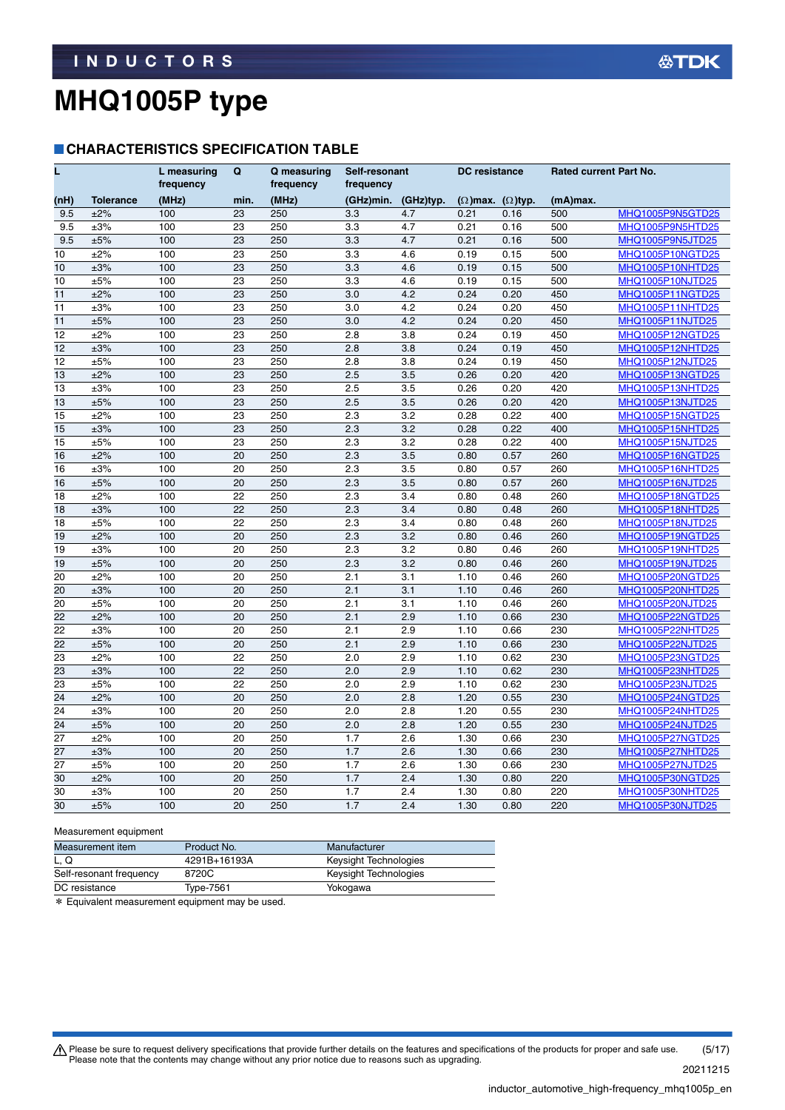#### **CHARACTERISTICS SPECIFICATION TABLE**

| L               |                  | L measuring<br>frequency | Q    | Q measuring<br>frequency | Self-resonant<br>frequency |           | <b>DC</b> resistance            |      | Rated current Part No. |                         |
|-----------------|------------------|--------------------------|------|--------------------------|----------------------------|-----------|---------------------------------|------|------------------------|-------------------------|
| (nH)            | <b>Tolerance</b> | (MHz)                    | min. | (MHz)                    | (GHz)min.                  | (GHz)typ. | $(\Omega)$ max. $(\Omega)$ typ. |      | (mA)max.               |                         |
| 9.5             | ±2%              | 100                      | 23   | 250                      | 3.3                        | 4.7       | 0.21                            | 0.16 | 500                    | MHQ1005P9N5GTD25        |
| 9.5             | ±3%              | 100                      | 23   | 250                      | 3.3                        | 4.7       | 0.21                            | 0.16 | 500                    | MHQ1005P9N5HTD25        |
| 9.5             | ±5%              | 100                      | 23   | 250                      | 3.3                        | 4.7       | 0.21                            | 0.16 | 500                    | MHQ1005P9N5JTD25        |
| 10              | ±2%              | 100                      | 23   | 250                      | 3.3                        | 4.6       | 0.19                            | 0.15 | 500                    | MHQ1005P10NGTD25        |
| 10              | ±3%              | 100                      | 23   | 250                      | 3.3                        | 4.6       | 0.19                            | 0.15 | 500                    | MHQ1005P10NHTD25        |
| 10              | ±5%              | 100                      | 23   | 250                      | 3.3                        | 4.6       | 0.19                            | 0.15 | 500                    | MHQ1005P10NJTD25        |
| 11              | ±2%              | 100                      | 23   | 250                      | 3.0                        | 4.2       | 0.24                            | 0.20 | 450                    | MHQ1005P11NGTD25        |
| 11              | ±3%              | 100                      | 23   | 250                      | 3.0                        | 4.2       | 0.24                            | 0.20 | 450                    | MHQ1005P11NHTD25        |
| 11              | ±5%              | 100                      | 23   | 250                      | 3.0                        | 4.2       | 0.24                            | 0.20 | 450                    | MHQ1005P11NJTD25        |
| 12              | ±2%              | 100                      | 23   | 250                      | 2.8                        | 3.8       | 0.24                            | 0.19 | 450                    | MHQ1005P12NGTD25        |
| 12              | ±3%              | 100                      | 23   | 250                      | 2.8                        | 3.8       | 0.24                            | 0.19 | 450                    | <b>MHQ1005P12NHTD25</b> |
| 12              | ±5%              | 100                      | 23   | 250                      | 2.8                        | 3.8       | 0.24                            | 0.19 | 450                    | MHQ1005P12NJTD25        |
| 13              | ±2%              | 100                      | 23   | 250                      | 2.5                        | 3.5       | 0.26                            | 0.20 | 420                    | MHQ1005P13NGTD25        |
| 13              | $\pm 3\%$        | 100                      | 23   | 250                      | 2.5                        | 3.5       | 0.26                            | 0.20 | 420                    | MHQ1005P13NHTD25        |
| 13              | ±5%              | 100                      | 23   | 250                      | 2.5                        | 3.5       | 0.26                            | 0.20 | 420                    | <b>MHQ1005P13NJTD25</b> |
| 15              | ±2%              | 100                      | 23   | 250                      | 2.3                        | 3.2       | 0.28                            | 0.22 | 400                    | MHQ1005P15NGTD25        |
| 15              | ±3%              | 100                      | 23   | 250                      | 2.3                        | 3.2       | 0.28                            | 0.22 | 400                    | MHQ1005P15NHTD25        |
| 15              | ±5%              | 100                      | 23   | 250                      | 2.3                        | 3.2       | 0.28                            | 0.22 | 400                    | MHQ1005P15NJTD25        |
| 16              | ±2%              | 100                      | 20   | 250                      | 2.3                        | 3.5       | 0.80                            | 0.57 | 260                    | MHQ1005P16NGTD25        |
| 16              | $\pm 3\%$        | 100                      | 20   | 250                      | 2.3                        | 3.5       | 0.80                            | 0.57 | 260                    | MHQ1005P16NHTD25        |
| 16              | ±5%              | 100                      | 20   | 250                      | 2.3                        | 3.5       | 0.80                            | 0.57 | 260                    | MHQ1005P16NJTD25        |
| 18              | ±2%              | 100                      | 22   | 250                      | 2.3                        | 3.4       | 0.80                            | 0.48 | 260                    | MHQ1005P18NGTD25        |
| 18              | ±3%              | 100                      | 22   | 250                      | 2.3                        | 3.4       | 0.80                            | 0.48 | 260                    | MHQ1005P18NHTD25        |
| 18              | ±5%              | 100                      | 22   | 250                      | 2.3                        | 3.4       | 0.80                            | 0.48 | 260                    | MHQ1005P18NJTD25        |
| 19              | ±2%              | 100                      | 20   | 250                      | 2.3                        | 3.2       | 0.80                            | 0.46 | 260                    | MHQ1005P19NGTD25        |
| 19              | ±3%              | 100                      | 20   | 250                      | 2.3                        | 3.2       | 0.80                            | 0.46 | 260                    | MHQ1005P19NHTD25        |
| 19              | ±5%              | 100                      | 20   | 250                      | 2.3                        | 3.2       | 0.80                            | 0.46 | 260                    | MHQ1005P19NJTD25        |
| 20              | ±2%              | 100                      | 20   | 250                      | 2.1                        | 3.1       | 1.10                            | 0.46 | 260                    | MHQ1005P20NGTD25        |
| 20              | ±3%              | 100                      | 20   | 250                      | 2.1                        | 3.1       | 1.10                            | 0.46 | 260                    | MHQ1005P20NHTD25        |
| 20              | ±5%              | 100                      | 20   | 250                      | 2.1                        | 3.1       | 1.10                            | 0.46 | 260                    | MHQ1005P20NJTD25        |
| 22              | ±2%              | 100                      | 20   | 250                      | 2.1                        | 2.9       | 1.10                            | 0.66 | 230                    | MHQ1005P22NGTD25        |
| 22              | ±3%              | 100                      | 20   | 250                      | 2.1                        | 2.9       | 1.10                            | 0.66 | 230                    | MHQ1005P22NHTD25        |
| 22              | ±5%              | 100                      | 20   | 250                      | 2.1                        | 2.9       | 1.10                            | 0.66 | 230                    | MHQ1005P22NJTD25        |
| 23              | ±2%              | 100                      | 22   | 250                      | 2.0                        | 2.9       | 1.10                            | 0.62 | 230                    | MHQ1005P23NGTD25        |
| 23              | ±3%              | 100                      | 22   | 250                      | 2.0                        | 2.9       | 1.10                            | 0.62 | 230                    | MHQ1005P23NHTD25        |
| $\overline{23}$ | ±5%              | 100                      | 22   | 250                      | 2.0                        | 2.9       | 1.10                            | 0.62 | 230                    | MHQ1005P23NJTD25        |
| $\overline{24}$ | ±2%              | 100                      | 20   | 250                      | 2.0                        | 2.8       | 1.20                            | 0.55 | 230                    | MHQ1005P24NGTD25        |
| 24              | $\pm 3\%$        | 100                      | 20   | 250                      | 2.0                        | 2.8       | 1.20                            | 0.55 | 230                    | MHQ1005P24NHTD25        |
| 24              | ±5%              | 100                      | 20   | 250                      | 2.0                        | 2.8       | 1.20                            | 0.55 | 230                    | MHQ1005P24NJTD25        |
| 27              | ±2%              | 100                      | 20   | 250                      | 1.7                        | 2.6       | 1.30                            | 0.66 | 230                    | MHQ1005P27NGTD25        |
| 27              | ±3%              | 100                      | 20   | 250                      | 1.7                        | 2.6       | 1.30                            | 0.66 | 230                    | MHQ1005P27NHTD25        |
| 27              | ±5%              | 100                      | 20   | 250                      | 1.7                        | 2.6       | 1.30                            | 0.66 | 230                    | <b>MHQ1005P27NJTD25</b> |
| 30              | ±2%              | 100                      | 20   | 250                      | 1.7                        | 2.4       | 1.30                            | 0.80 | 220                    | MHQ1005P30NGTD25        |
| 30              | $\pm 3\%$        | 100                      | 20   | 250                      | 1.7                        | 2.4       | 1.30                            | 0.80 | 220                    | MHQ1005P30NHTD25        |
| 30              | ±5%              | 100                      | 20   | 250                      | 1.7                        | 2.4       | 1.30                            | 0.80 | 220                    | MHQ1005P30NJTD25        |

#### Measurement equipment

| Measurement item        | Product No.  | Manufacturer          |  |
|-------------------------|--------------|-----------------------|--|
| L. Q                    | 4291B+16193A | Keysight Technologies |  |
| Self-resonant frequency | 8720C        | Keysight Technologies |  |
| DC resistance           | Type-7561    | Yokogawa              |  |

\* Equivalent measurement equipment may be used.

Please be sure to request delivery specifications that provide further details on the features and specifications of the products for proper and safe use.<br>Please note that the contents may change without any prior notice d 20211215 (5/17)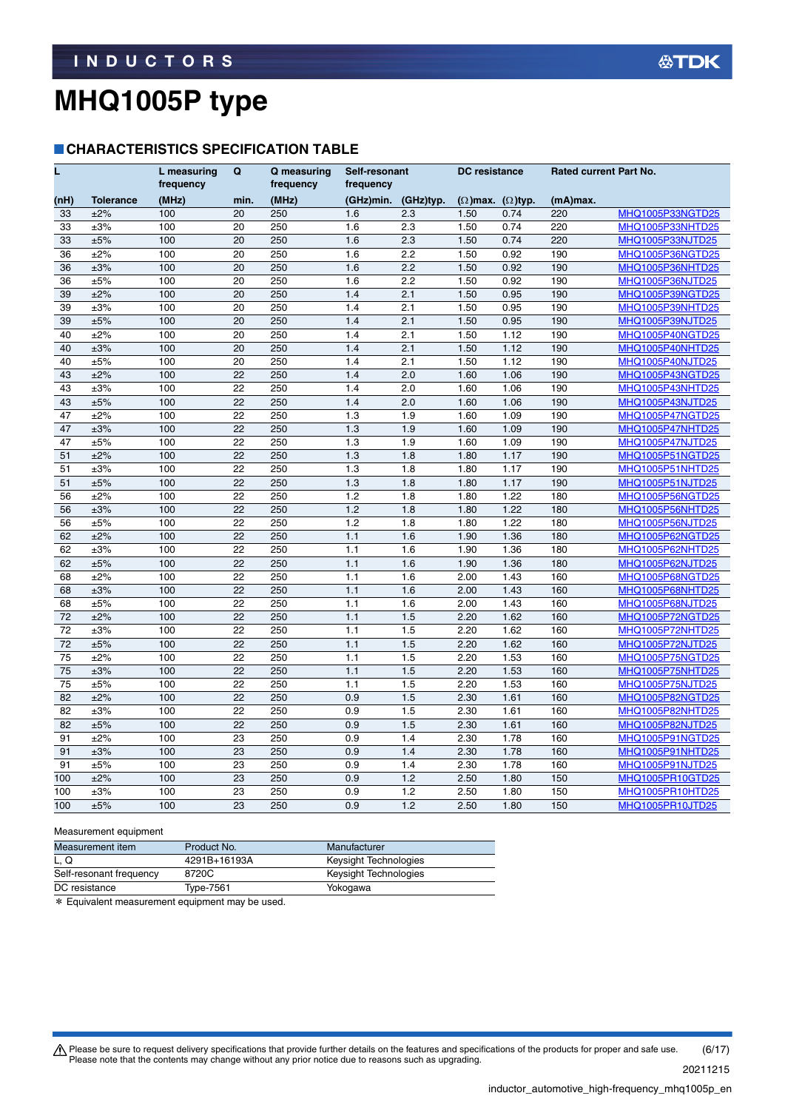#### **CHARACTERISTICS SPECIFICATION TABLE**

| L    |                  | L measuring<br>frequency | Q    | Q measuring<br>frequency | Self-resonant<br>frequency |           | <b>DC</b> resistance            |      | Rated current Part No. |                         |
|------|------------------|--------------------------|------|--------------------------|----------------------------|-----------|---------------------------------|------|------------------------|-------------------------|
| (nH) | <b>Tolerance</b> | (MHz)                    | min. | (MHz)                    | (GHz)min.                  | (GHz)typ. | $(\Omega)$ max. $(\Omega)$ typ. |      | (mA)max.               |                         |
| 33   | ±2%              | 100                      | 20   | 250                      | 1.6                        | 2.3       | 1.50                            | 0.74 | 220                    | MHQ1005P33NGTD25        |
| 33   | ±3%              | 100                      | 20   | 250                      | 1.6                        | 2.3       | 1.50                            | 0.74 | 220                    | MHQ1005P33NHTD25        |
| 33   | ±5%              | 100                      | 20   | 250                      | 1.6                        | 2.3       | 1.50                            | 0.74 | 220                    | MHQ1005P33NJTD25        |
| 36   | ±2%              | 100                      | 20   | 250                      | 1.6                        | 2.2       | 1.50                            | 0.92 | 190                    | MHQ1005P36NGTD25        |
| 36   | ±3%              | 100                      | 20   | 250                      | 1.6                        | 2.2       | 1.50                            | 0.92 | 190                    | MHQ1005P36NHTD25        |
| 36   | ±5%              | 100                      | 20   | 250                      | 1.6                        | 2.2       | 1.50                            | 0.92 | 190                    | MHQ1005P36NJTD25        |
| 39   | ±2%              | 100                      | 20   | 250                      | 1.4                        | 2.1       | 1.50                            | 0.95 | 190                    | MHQ1005P39NGTD25        |
| 39   | ±3%              | 100                      | 20   | 250                      | 1.4                        | 2.1       | 1.50                            | 0.95 | 190                    | MHQ1005P39NHTD25        |
| 39   | ±5%              | 100                      | 20   | 250                      | 1.4                        | 2.1       | 1.50                            | 0.95 | 190                    | MHQ1005P39NJTD25        |
| 40   | ±2%              | 100                      | 20   | 250                      | 1.4                        | 2.1       | 1.50                            | 1.12 | 190                    | MHQ1005P40NGTD25        |
| 40   | ±3%              | 100                      | 20   | 250                      | 1.4                        | 2.1       | 1.50                            | 1.12 | 190                    | MHQ1005P40NHTD25        |
| 40   | ±5%              | 100                      | 20   | 250                      | 1.4                        | 2.1       | 1.50                            | 1.12 | 190                    | MHQ1005P40NJTD25        |
| 43   | ±2%              | 100                      | 22   | 250                      | 1.4                        | 2.0       | 1.60                            | 1.06 | 190                    | MHQ1005P43NGTD25        |
| 43   | $\pm 3\%$        | 100                      | 22   | 250                      | 1.4                        | 2.0       | 1.60                            | 1.06 | 190                    | MHQ1005P43NHTD25        |
| 43   | ±5%              | 100                      | 22   | 250                      | 1.4                        | 2.0       | 1.60                            | 1.06 | 190                    | <b>MHQ1005P43NJTD25</b> |
| 47   | ±2%              | 100                      | 22   | 250                      | 1.3                        | 1.9       | 1.60                            | 1.09 | 190                    | MHQ1005P47NGTD25        |
| 47   | ±3%              | 100                      | 22   | 250                      | 1.3                        | 1.9       | 1.60                            | 1.09 | 190                    | MHQ1005P47NHTD25        |
| 47   | ±5%              | 100                      | 22   | 250                      | 1.3                        | 1.9       | 1.60                            | 1.09 | 190                    | MHQ1005P47NJTD25        |
| 51   | ±2%              | 100                      | 22   | 250                      | 1.3                        | 1.8       | 1.80                            | 1.17 | 190                    | MHQ1005P51NGTD25        |
| 51   | $\pm 3\%$        | 100                      | 22   | 250                      | 1.3                        | 1.8       | 1.80                            | 1.17 | 190                    | <b>MHQ1005P51NHTD25</b> |
| 51   | ±5%              | 100                      | 22   | 250                      | 1.3                        | 1.8       | 1.80                            | 1.17 | 190                    | MHQ1005P51NJTD25        |
| 56   | ±2%              | 100                      | 22   | 250                      | 1.2                        | 1.8       | 1.80                            | 1.22 | 180                    | MHQ1005P56NGTD25        |
| 56   | ±3%              | 100                      | 22   | 250                      | 1.2                        | 1.8       | 1.80                            | 1.22 | 180                    | MHQ1005P56NHTD25        |
| 56   | ±5%              | 100                      | 22   | 250                      | 1.2                        | 1.8       | 1.80                            | 1.22 | 180                    | MHQ1005P56NJTD25        |
| 62   | ±2%              | 100                      | 22   | 250                      | 1.1                        | 1.6       | 1.90                            | 1.36 | 180                    | MHQ1005P62NGTD25        |
| 62   | ±3%              | 100                      | 22   | 250                      | 1.1                        | 1.6       | 1.90                            | 1.36 | 180                    | MHQ1005P62NHTD25        |
| 62   | ±5%              | 100                      | 22   | 250                      | 1.1                        | 1.6       | 1.90                            | 1.36 | 180                    | MHQ1005P62NJTD25        |
| 68   | ±2%              | 100                      | 22   | 250                      | 1.1                        | 1.6       | 2.00                            | 1.43 | 160                    | MHQ1005P68NGTD25        |
| 68   | ±3%              | 100                      | 22   | 250                      | 1.1                        | 1.6       | 2.00                            | 1.43 | 160                    | MHQ1005P68NHTD25        |
| 68   | ±5%              | 100                      | 22   | 250                      | 1.1                        | 1.6       | 2.00                            | 1.43 | 160                    | MHQ1005P68NJTD25        |
| 72   | ±2%              | 100                      | 22   | 250                      | 1.1                        | 1.5       | 2.20                            | 1.62 | 160                    | MHQ1005P72NGTD25        |
| 72   | ±3%              | 100                      | 22   | 250                      | 1.1                        | 1.5       | 2.20                            | 1.62 | 160                    | MHQ1005P72NHTD25        |
| 72   | ±5%              | 100                      | 22   | 250                      | 1.1                        | 1.5       | 2.20                            | 1.62 | 160                    | MHQ1005P72NJTD25        |
| 75   | ±2%              | 100                      | 22   | 250                      | 1.1                        | 1.5       | 2.20                            | 1.53 | 160                    | MHQ1005P75NGTD25        |
| 75   | ±3%              | 100                      | 22   | 250                      | 1.1                        | 1.5       | 2.20                            | 1.53 | 160                    | MHQ1005P75NHTD25        |
| 75   | ±5%              | 100                      | 22   | 250                      | 1.1                        | 1.5       | 2.20                            | 1.53 | 160                    | <b>MHQ1005P75NJTD25</b> |
| 82   | ±2%              | 100                      | 22   | 250                      | 0.9                        | 1.5       | 2.30                            | 1.61 | 160                    | MHQ1005P82NGTD25        |
| 82   | ±3%              | 100                      | 22   | 250                      | 0.9                        | 1.5       | 2.30                            | 1.61 | 160                    | <b>MHQ1005P82NHTD25</b> |
| 82   | ±5%              | 100                      | 22   | 250                      | 0.9                        | 1.5       | 2.30                            | 1.61 | 160                    | MHQ1005P82NJTD25        |
| 91   | ±2%              | 100                      | 23   | 250                      | 0.9                        | 1.4       | 2.30                            | 1.78 | 160                    | MHQ1005P91NGTD25        |
| 91   | ±3%              | 100                      | 23   | 250                      | 0.9                        | 1.4       | 2.30                            | 1.78 | 160                    | MHQ1005P91NHTD25        |
| 91   | ±5%              | 100                      | 23   | 250                      | 0.9                        | 1.4       | 2.30                            | 1.78 | 160                    | <b>MHQ1005P91NJTD25</b> |
| 100  | ±2%              | 100                      | 23   | 250                      | 0.9                        | 1.2       | 2.50                            | 1.80 | 150                    | MHQ1005PR10GTD25        |
| 100  | ±3%              | 100                      | 23   | 250                      | 0.9                        | 1.2       | 2.50                            | 1.80 | 150                    | MHQ1005PR10HTD25        |
| 100  | ±5%              | 100                      | 23   | 250                      | 0.9                        | 1.2       | 2.50                            | 1.80 | 150                    | MHQ1005PR10JTD25        |

#### Measurement equipment

| Measurement item        | Product No.  | Manufacturer          |
|-------------------------|--------------|-----------------------|
| L. Q                    | 4291B+16193A | Keysight Technologies |
| Self-resonant frequency | 8720C        | Keysight Technologies |
| DC resistance           | Type-7561    | Yokogawa              |

\* Equivalent measurement equipment may be used.

Please be sure to request delivery specifications that provide further details on the features and specifications of the products for proper and safe use.<br>Please note that the contents may change without any prior notice d 20211215 (6/17)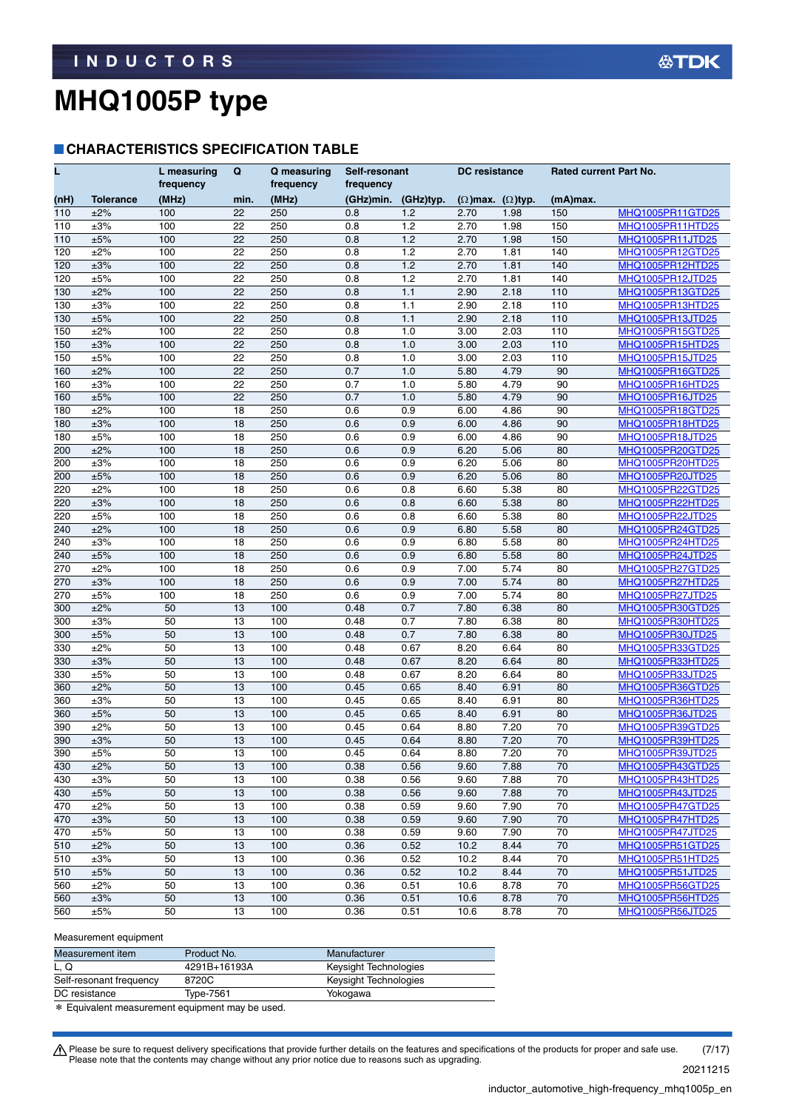#### **CHARACTERISTICS SPECIFICATION TABLE**

| L                |                  | L measuring<br>frequency | Q        | Q measuring<br>frequency | Self-resonant<br>frequency |              | <b>DC</b> resistance            |              | <b>Rated current Part No.</b> |                                      |  |
|------------------|------------------|--------------------------|----------|--------------------------|----------------------------|--------------|---------------------------------|--------------|-------------------------------|--------------------------------------|--|
| (nH)             | <b>Tolerance</b> | (MHz)                    | min.     | (MHz)                    | (GHz)min.                  | (GHz)typ.    | $(\Omega)$ max. $(\Omega)$ typ. |              | (mA)max.                      |                                      |  |
| 110              | ±2%              | 100                      | 22       | 250                      | 0.8                        | 1.2          | 2.70                            | 1.98         | 150                           | MHQ1005PR11GTD25                     |  |
| 110              | $\pm 3\%$        | 100                      | 22       | 250                      | 0.8                        | 1.2          | 2.70                            | 1.98         | 150                           | MHQ1005PR11HTD25                     |  |
| 110              | ±5%              | 100                      | 22       | 250                      | 0.8                        | 1.2          | 2.70                            | 1.98         | 150                           | <b>MHQ1005PR11JTD25</b>              |  |
| 120              | ±2%              | 100                      | 22       | 250                      | 0.8                        | 1.2          | 2.70                            | 1.81         | 140                           | MHQ1005PR12GTD25                     |  |
| 120              | $\pm 3\%$        | 100                      | 22       | 250                      | 0.8                        | 1.2          | 2.70                            | 1.81         | 140                           | MHQ1005PR12HTD25                     |  |
| 120              | ±5%              | 100                      | 22       | 250                      | 0.8                        | 1.2          | 2.70                            | 1.81         | 140                           | MHQ1005PR12JTD25                     |  |
| 130              | ±2%              | 100                      | 22       | 250                      | 0.8                        | 1.1          | 2.90                            | 2.18         | 110                           | MHQ1005PR13GTD25                     |  |
| 130              | $\pm 3\%$        | 100                      | 22       | 250                      | 0.8                        | 1.1          | 2.90                            | 2.18         | 110                           | MHQ1005PR13HTD25                     |  |
| 130              | ±5%              | 100                      | 22       | 250                      | 0.8                        | 1.1          | 2.90                            | 2.18         | 110                           | MHQ1005PR13JTD25                     |  |
| 150              | ±2%              | 100                      | 22       | 250                      | 0.8                        | 1.0          | 3.00                            | 2.03         | 110                           | MHQ1005PR15GTD25                     |  |
| 150              | $\pm 3\%$        | 100                      | 22       | 250                      | 0.8                        | 1.0          | 3.00                            | 2.03         | 110                           | MHQ1005PR15HTD25                     |  |
| 150              | ±5%              | 100                      | 22       | 250                      | 0.8                        | 1.0          | 3.00                            | 2.03         | 110                           | <b>MHQ1005PR15JTD25</b>              |  |
| 160              | ±2%              | 100                      | 22       | 250                      | 0.7                        | 1.0          | 5.80                            | 4.79         | 90                            | MHQ1005PR16GTD25                     |  |
| 160              | $\pm 3\%$        | 100                      | 22       | 250                      | 0.7                        | 1.0          | 5.80                            | 4.79         | 90                            | MHQ1005PR16HTD25                     |  |
| 160              | ±5%              | 100                      | 22       | 250                      | 0.7                        | 1.0          | 5.80                            | 4.79         | 90                            | MHQ1005PR16JTD25                     |  |
| 180              | ±2%              | 100                      | 18       | 250                      | 0.6                        | 0.9          | 6.00                            | 4.86         | 90                            | MHQ1005PR18GTD25                     |  |
| 180              | $\pm 3\%$        | 100                      | 18       | 250                      | 0.6                        | 0.9          | 6.00                            | 4.86         | 90                            | MHQ1005PR18HTD25                     |  |
| 180              | ±5%              | 100                      | 18       | 250                      | 0.6                        | 0.9          | 6.00                            | 4.86         | 90                            | <b>MHQ1005PR18JTD25</b>              |  |
| 200              | ±2%              | 100                      | 18       | 250                      | 0.6                        | 0.9          | 6.20                            | 5.06         | 80                            | MHQ1005PR20GTD25                     |  |
| 200              | $\pm 3\%$        | 100                      | 18       | 250                      | 0.6                        | 0.9          | 6.20                            | 5.06         | 80                            | MHQ1005PR20HTD25                     |  |
| 200              | ±5%              | 100                      | 18       | 250                      | 0.6                        | 0.9          | 6.20                            | 5.06         | 80                            | MHQ1005PR20JTD25                     |  |
| 220              | ±2%              | 100                      | 18       | 250                      | 0.6                        | 0.8          | 6.60                            | 5.38         | 80                            | MHQ1005PR22GTD25                     |  |
| 220              | $\pm 3\%$        | 100                      | 18       | 250                      | 0.6                        | 0.8          | 6.60                            | 5.38         | 80                            | MHQ1005PR22HTD25                     |  |
| 220              | ±5%              | 100                      | 18       | 250                      | 0.6                        | 0.8          | 6.60                            | 5.38         | 80                            | <b>MHQ1005PR22JTD25</b>              |  |
| 240              | ±2%              | 100                      | 18       | 250                      | 0.6                        | 0.9          | 6.80                            | 5.58         | 80                            | MHQ1005PR24GTD25                     |  |
| 240              | $\pm 3\%$        | 100                      | 18       | 250                      | 0.6                        | 0.9          | 6.80                            | 5.58         | 80                            | MHQ1005PR24HTD25                     |  |
| 240              | ±5%              | 100                      | 18       | 250                      | 0.6                        | 0.9          | 6.80                            | 5.58         | 80                            | MHQ1005PR24JTD25                     |  |
| 270              | ±2%              | 100                      | 18       | 250                      | 0.6                        | 0.9          | 7.00                            | 5.74         | 80                            | MHQ1005PR27GTD25                     |  |
| 270              | $\pm 3\%$        | 100                      | 18       | 250                      | 0.6                        | 0.9          | 7.00                            | 5.74         | 80                            | MHQ1005PR27HTD25                     |  |
| 270              | ±5%              | 100                      | 18       | 250                      | 0.6                        | 0.9          | 7.00                            | 5.74         | 80                            | MHQ1005PR27JTD25                     |  |
| 300              | ±2%              | 50                       | 13       | 100                      | 0.48                       | 0.7          | 7.80                            | 6.38         | 80                            | MHQ1005PR30GTD25                     |  |
| 300              | $\pm 3\%$        | 50                       | 13       | 100                      | 0.48                       | 0.7          | 7.80                            | 6.38         | 80                            | MHQ1005PR30HTD25                     |  |
| 300              | ±5%              | 50                       | 13       | 100                      | 0.48                       | 0.7          | 7.80                            | 6.38         | 80                            | <b>MHQ1005PR30JTD25</b>              |  |
| 330              | $\pm 2\%$        | 50                       | 13       | 100                      | 0.48                       | 0.67         | 8.20                            | 6.64         | 80                            | MHQ1005PR33GTD25                     |  |
| 330              | $\pm 3\%$        | 50<br>50                 | 13<br>13 | 100                      | 0.48<br>0.48               | 0.67<br>0.67 | 8.20                            | 6.64         | 80                            | MHQ1005PR33HTD25                     |  |
| 330              | ±5%<br>±2%       | 50                       | 13       | 100<br>100               | 0.45                       | 0.65         | 8.20                            | 6.64         | 80<br>80                      | MHQ1005PR33JTD25<br>MHQ1005PR36GTD25 |  |
| 360              | $\pm 3\%$        | 50                       | 13       | 100                      | 0.45                       | 0.65         | 8.40<br>8.40                    | 6.91<br>6.91 | 80                            |                                      |  |
| 360<br>360       | ±5%              | 50                       | 13       | 100                      | 0.45                       | 0.65         | 8.40                            | 6.91         | 80                            | MHQ1005PR36HTD25                     |  |
| 390              | $\pm 2\%$        | 50                       | 13       | 100                      | 0.45                       | 0.64         | 8.80                            | 7.20         | 70                            | MHQ1005PR36JTD25<br>MHQ1005PR39GTD25 |  |
| 390              | $\pm 3\%$        | 50                       | 13       | 100                      | 0.45                       | 0.64         | 8.80                            | 7.20         | 70                            | MHQ1005PR39HTD25                     |  |
| $\overline{390}$ | ±5%              | 50                       | 13       | 100                      | 0.45                       | 0.64         | 8.80                            | 7.20         | 70                            | MHQ1005PR39JTD25                     |  |
| 430              | ±2%              | 50                       | 13       | 100                      | 0.38                       | 0.56         | 9.60                            | 7.88         | 70                            | MHQ1005PR43GTD25                     |  |
| 430              | $\pm 3\%$        | 50                       | 13       | 100                      | 0.38                       | 0.56         | 9.60                            | 7.88         | 70                            | MHQ1005PR43HTD25                     |  |
| 430              | ±5%              | 50                       | 13       | 100                      | 0.38                       | 0.56         | 9.60                            | 7.88         | 70                            | <b>MHQ1005PR43JTD25</b>              |  |
| 470              | ±2%              | 50                       | 13       | 100                      | 0.38                       | 0.59         | 9.60                            | 7.90         | 70                            | MHQ1005PR47GTD25                     |  |
| 470              | $\pm 3\%$        | 50                       | 13       | 100                      | 0.38                       | 0.59         | 9.60                            | 7.90         | 70                            | MHQ1005PR47HTD25                     |  |
| 470              | ±5%              | 50                       | 13       | 100                      | 0.38                       | 0.59         | 9.60                            | 7.90         | 70                            | <b>MHQ1005PR47JTD25</b>              |  |
| 510              | ±2%              | 50                       | 13       | 100                      | 0.36                       | 0.52         | 10.2                            | 8.44         | 70                            | MHQ1005PR51GTD25                     |  |
| 510              | $\pm 3\%$        | 50                       | 13       | 100                      | 0.36                       | 0.52         | 10.2                            | 8.44         | 70                            | <b>MHQ1005PR51HTD25</b>              |  |
| 510              | ±5%              | 50                       | 13       | 100                      | 0.36                       | 0.52         | 10.2                            | 8.44         | 70                            | MHQ1005PR51JTD25                     |  |
| 560              | ±2%              | 50                       | 13       | 100                      | 0.36                       | 0.51         | 10.6                            | 8.78         | 70                            | MHQ1005PR56GTD25                     |  |
| 560              | $\pm 3\%$        | 50                       | 13       | 100                      | 0.36                       | 0.51         | 10.6                            | 8.78         | 70                            | MHQ1005PR56HTD25                     |  |
| 560              | $\pm 5\%$        | 50                       | 13       | 100                      | 0.36                       | 0.51         | 10.6                            | 8.78         | 70                            | <b>MHQ1005PR56JTD25</b>              |  |

#### Measurement equipment

| Measurement item                                    | Product No.  | Manufacturer          |
|-----------------------------------------------------|--------------|-----------------------|
| L, Q                                                | 4291B+16193A | Keysight Technologies |
| Self-resonant frequency                             | 8720C        | Keysight Technologies |
| DC resistance                                       | Type-7561    | Yokogawa              |
| $\ast$ Equivalent measurement equipment may be used |              |                       |

ement equipment may be used<sup>.</sup>

Please be sure to request delivery specifications that provide further details on the features and specifications of the products for proper and safe use.<br>Please note that the contents may change without any prior notice d 20211215 (7/17)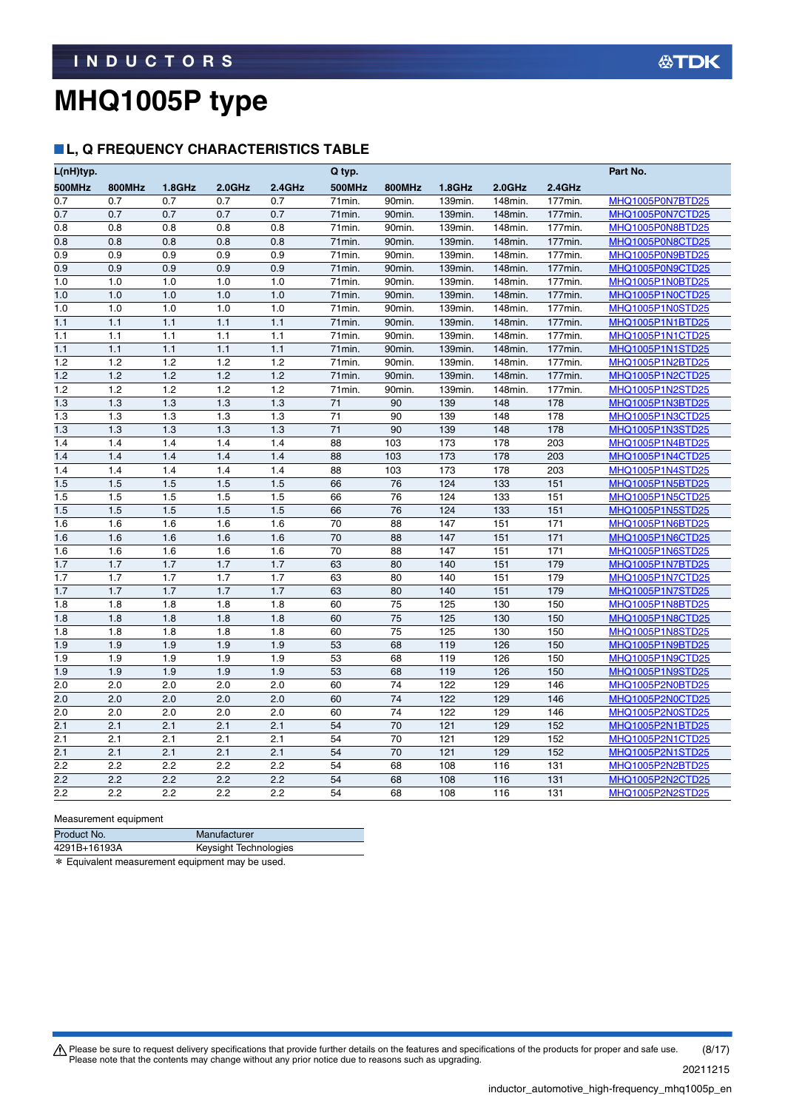### **L, Q FREQUENCY CHARACTERISTICS TABLE**

| L(nH)typ.  |               |            |            |            | Q typ.        |               |            |            |            | Part No.                             |
|------------|---------------|------------|------------|------------|---------------|---------------|------------|------------|------------|--------------------------------------|
| 500MHz     | <b>800MHz</b> | 1.8GHz     | $2.0$ GHz  | 2.4GHz     | <b>500MHz</b> | <b>800MHz</b> | 1.8GHz     | $2.0$ GHz  | 2.4GHz     |                                      |
| 0.7        | 0.7           | 0.7        | 0.7        | 0.7        | 71min.        | 90min.        | 139min.    | 148min.    | 177min.    | MHQ1005P0N7BTD25                     |
| 0.7        | 0.7           | 0.7        | 0.7        | 0.7        | 71min.        | 90min.        | 139min.    | 148min.    | 177min.    | MHQ1005P0N7CTD25                     |
| 0.8        | 0.8           | 0.8        | 0.8        | 0.8        | 71min.        | 90min.        | 139min.    | 148min.    | 177min.    | MHQ1005P0N8BTD25                     |
| 0.8        | 0.8           | 0.8        | 0.8        | 0.8        | 71min.        | 90min.        | 139min.    | 148min.    | 177min.    | MHQ1005P0N8CTD25                     |
| 0.9        | 0.9           | 0.9        | 0.9        | 0.9        | 71min.        | 90min.        | 139min.    | 148min.    | 177min.    | MHQ1005P0N9BTD25                     |
| 0.9        | 0.9           | 0.9        | 0.9        | 0.9        | 71min.        | 90min.        | 139min.    | 148min.    | 177min.    | MHQ1005P0N9CTD25                     |
| 1.0        | 1.0           | 1.0        | 1.0        | 1.0        | 71min.        | 90min.        | 139min.    | 148min.    | 177min.    | MHQ1005P1N0BTD25                     |
| 1.0        | 1.0           | 1.0        | 1.0        | 1.0        | 71min.        | 90min.        | 139min.    | 148min.    | 177min.    | MHQ1005P1N0CTD25                     |
| 1.0        | 1.0           | 1.0        | 1.0        | 1.0        | 71min.        | 90min.        | 139min.    | 148min.    | 177min.    | MHQ1005P1N0STD25                     |
| 1.1        | 1.1           | 1.1        | 1.1        | 1.1        | 71min.        | 90min.        | 139min.    | 148min.    | 177min.    | MHQ1005P1N1BTD25                     |
| 1.1        | 1.1           | 1.1        | 1.1        | 1.1        | 71min.        | 90min.        | 139min.    | 148min.    | 177min.    | MHQ1005P1N1CTD25                     |
| 1.1        | 1.1           | 1.1        | 1.1        | 1.1        | 71min.        | 90min.        | 139min.    | 148min.    | 177min.    | MHQ1005P1N1STD25                     |
| 1.2        | 1.2           | 1.2        | 1.2        | 1.2        | 71min.        | 90min.        | 139min.    | 148min.    | 177min.    | MHQ1005P1N2BTD25                     |
| 1.2        | 1.2           | 1.2        | 1.2        | 1.2        | 71min.        | 90min.        | 139min.    | 148min.    | 177min.    | MHQ1005P1N2CTD25                     |
| 1.2        | 1.2           | 1.2        | 1.2        | 1.2        | 71min.        | 90min.        | 139min.    | 148min.    | 177min.    | MHQ1005P1N2STD25                     |
| 1.3        | 1.3           | 1.3        | 1.3        | 1.3        | 71            | 90            | 139        | 148        | 178        | MHQ1005P1N3BTD25                     |
| 1.3        | 1.3           | 1.3        | 1.3        | 1.3        | 71            | 90            | 139        | 148        | 178        | MHQ1005P1N3CTD25                     |
| 1.3        | 1.3<br>1.4    | 1.3<br>1.4 | 1.3<br>1.4 | 1.3<br>1.4 | 71            | 90<br>103     | 139<br>173 | 148<br>178 | 178<br>203 | MHQ1005P1N3STD25                     |
| 1.4<br>1.4 | 1.4           | 1.4        | 1.4        | 1.4        | 88<br>88      | 103           | 173        | 178        | 203        | MHQ1005P1N4BTD25<br>MHQ1005P1N4CTD25 |
| 1.4        | 1.4           | 1.4        | 1.4        | 1.4        | 88            | 103           | 173        | 178        | 203        | MHQ1005P1N4STD25                     |
| 1.5        | 1.5           | 1.5        | 1.5        | 1.5        | 66            | 76            | 124        | 133        | 151        | MHQ1005P1N5BTD25                     |
| 1.5        | 1.5           | 1.5        | 1.5        | 1.5        | 66            | 76            | 124        | 133        | 151        | MHQ1005P1N5CTD25                     |
| 1.5        | 1.5           | 1.5        | 1.5        | 1.5        | 66            | 76            | 124        | 133        | 151        | MHQ1005P1N5STD25                     |
| 1.6        | 1.6           | 1.6        | 1.6        | 1.6        | 70            | 88            | 147        | 151        | 171        | MHQ1005P1N6BTD25                     |
| 1.6        | 1.6           | 1.6        | 1.6        | 1.6        | 70            | 88            | 147        | 151        | 171        | MHQ1005P1N6CTD25                     |
| 1.6        | 1.6           | 1.6        | 1.6        | 1.6        | 70            | 88            | 147        | 151        | 171        | MHQ1005P1N6STD25                     |
| 1.7        | 1.7           | 1.7        | 1.7        | 1.7        | 63            | 80            | 140        | 151        | 179        | MHQ1005P1N7BTD25                     |
| 1.7        | 1.7           | 1.7        | 1.7        | 1.7        | 63            | 80            | 140        | 151        | 179        | MHQ1005P1N7CTD25                     |
| 1.7        | 1.7           | 1.7        | 1.7        | 1.7        | 63            | 80            | 140        | 151        | 179        | MHQ1005P1N7STD25                     |
| 1.8        | 1.8           | 1.8        | 1.8        | 1.8        | 60            | 75            | 125        | 130        | 150        | MHQ1005P1N8BTD25                     |
| 1.8        | 1.8           | 1.8        | 1.8        | 1.8        | 60            | 75            | 125        | 130        | 150        | <b>MHQ1005P1N8CTD25</b>              |
| 1.8        | 1.8           | 1.8        | 1.8        | 1.8        | 60            | 75            | 125        | 130        | 150        | MHQ1005P1N8STD25                     |
| 1.9        | 1.9           | 1.9        | 1.9        | 1.9        | 53            | 68            | 119        | 126        | 150        | MHQ1005P1N9BTD25                     |
| 1.9        | 1.9           | 1.9        | 1.9        | 1.9        | 53            | 68            | 119        | 126        | 150        | MHQ1005P1N9CTD25                     |
| 1.9        | 1.9           | 1.9        | 1.9        | 1.9        | 53            | 68            | 119        | 126        | 150        | MHQ1005P1N9STD25                     |
| 2.0        | 2.0           | 2.0        | 2.0        | 2.0        | 60            | 74            | 122        | 129        | 146        | MHQ1005P2N0BTD25                     |
| 2.0        | 2.0           | 2.0        | 2.0        | 2.0        | 60            | 74            | 122        | 129        | 146        | MHQ1005P2N0CTD25                     |
| 2.0        | 2.0           | 2.0        | 2.0        | 2.0        | 60            | 74            | 122        | 129        | 146        | MHQ1005P2N0STD25                     |
| 2.1        | 2.1           | 2.1        | 2.1        | 2.1        | 54            | 70            | 121        | 129        | 152        | MHQ1005P2N1BTD25                     |
| 2.1        | 2.1           | 2.1        | 2.1        | 2.1        | 54            | 70            | 121        | 129        | 152        | MHQ1005P2N1CTD25                     |
| 2.1        | 2.1           | 2.1        | 2.1        | 2.1        | 54            | 70            | 121        | 129        | 152        | MHQ1005P2N1STD25                     |
| 2.2        | 2.2           | 2.2        | 2.2        | 2.2        | 54            | 68            | 108        | 116        | 131        | MHQ1005P2N2BTD25                     |
| 2.2        | 2.2           | 2.2        | 2.2        | 2.2        | 54            | 68            | 108        | 116        | 131        | MHQ1005P2N2CTD25                     |
| 2.2        | 2.2           | 2.2        | 2.2        | 2.2        | 54            | 68            | 108        | 116        | 131        | MHQ1005P2N2STD25                     |

Measurement equipment

| Product No.  | Manufacturer          |
|--------------|-----------------------|
| 4291B+16193A | Keysight Technologies |
|              |                       |

\* Equivalent measurement equipment may be used.

Please be sure to request delivery specifications that provide further details on the features and specifications of the products for proper and safe use.<br>Please note that the contents may change without any prior notice d 20211215 (8/17)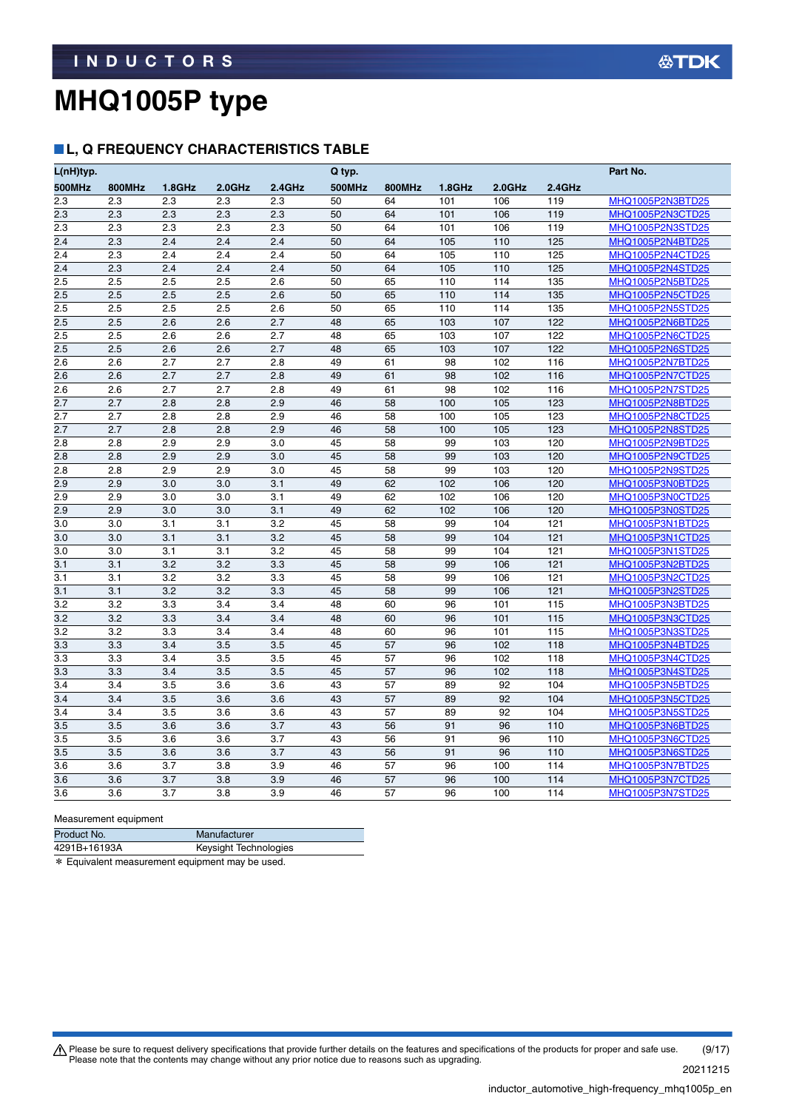#### **L, Q FREQUENCY CHARACTERISTICS TABLE**

| L(nH)typ.        |               |           |           |           | Q typ.        |        |           |           |        | Part No.                |
|------------------|---------------|-----------|-----------|-----------|---------------|--------|-----------|-----------|--------|-------------------------|
| 500MHz           | <b>800MHz</b> | $1.8$ GHz | $2.0$ GHz | $2.4$ GHz | <b>500MHz</b> | 800MHz | $1.8$ GHz | $2.0$ GHz | 2.4GHz |                         |
| 2.3              | 2.3           | 2.3       | 2.3       | 2.3       | 50            | 64     | 101       | 106       | 119    | MHQ1005P2N3BTD25        |
| 2.3              | 2.3           | 2.3       | 2.3       | 2.3       | 50            | 64     | 101       | 106       | 119    | MHQ1005P2N3CTD25        |
| 2.3              | 2.3           | 2.3       | 2.3       | 2.3       | 50            | 64     | 101       | 106       | 119    | <u>MHQ1005P2N3STD25</u> |
| 2.4              | 2.3           | 2.4       | 2.4       | 2.4       | 50            | 64     | 105       | 110       | 125    | MHQ1005P2N4BTD25        |
| 2.4              | 2.3           | 2.4       | 2.4       | 2.4       | 50            | 64     | 105       | 110       | 125    | MHQ1005P2N4CTD25        |
| $\overline{2.4}$ | 2.3           | 2.4       | 2.4       | 2.4       | 50            | 64     | 105       | 110       | 125    | MHQ1005P2N4STD25        |
| $\overline{2.5}$ | 2.5           | 2.5       | 2.5       | 2.6       | 50            | 65     | 110       | 114       | 135    | MHQ1005P2N5BTD25        |
| 2.5              | 2.5           | 2.5       | 2.5       | 2.6       | 50            | 65     | 110       | 114       | 135    | MHQ1005P2N5CTD25        |
| 2.5              | 2.5           | 2.5       | 2.5       | 2.6       | 50            | 65     | 110       | 114       | 135    | MHQ1005P2N5STD25        |
| 2.5              | 2.5           | 2.6       | 2.6       | 2.7       | 48            | 65     | 103       | 107       | 122    | MHQ1005P2N6BTD25        |
| 2.5              | 2.5           | 2.6       | 2.6       | 2.7       | 48            | 65     | 103       | 107       | 122    | MHQ1005P2N6CTD25        |
| 2.5              | 2.5           | 2.6       | 2.6       | 2.7       | 48            | 65     | 103       | 107       | 122    | MHQ1005P2N6STD25        |
| 2.6              | 2.6           | 2.7       | 2.7       | 2.8       | 49            | 61     | 98        | 102       | 116    | MHQ1005P2N7BTD25        |
| 2.6              | 2.6           | 2.7       | 2.7       | 2.8       | 49            | 61     | 98        | 102       | 116    | MHQ1005P2N7CTD25        |
| 2.6              | 2.6           | 2.7       | 2.7       | 2.8       | 49            | 61     | 98        | 102       | 116    | MHQ1005P2N7STD25        |
| 2.7              | 2.7           | 2.8       | 2.8       | 2.9       | 46            | 58     | 100       | 105       | 123    | <u>MHQ1005P2N8BTD25</u> |
| 2.7              | 2.7           | 2.8       | 2.8       | 2.9       | 46            | 58     | 100       | 105       | 123    | MHQ1005P2N8CTD25        |
| 2.7              | 2.7           | 2.8       | 2.8       | 2.9       | 46            | 58     | 100       | 105       | 123    | MHQ1005P2N8STD25        |
| 2.8              | 2.8           | 2.9       | 2.9       | 3.0       | 45            | 58     | 99        | 103       | 120    | MHQ1005P2N9BTD25        |
| 2.8              | 2.8           | 2.9       | 2.9       | 3.0       | 45            | 58     | 99        | 103       | 120    | MHQ1005P2N9CTD25        |
| 2.8              | 2.8           | 2.9       | 2.9       | 3.0       | 45            | 58     | 99        | 103       | 120    | MHQ1005P2N9STD25        |
| 2.9              | 2.9           | 3.0       | 3.0       | 3.1       | 49            | 62     | 102       | 106       | 120    | MHQ1005P3N0BTD25        |
| 2.9              | 2.9           | 3.0       | 3.0       | 3.1       | 49            | 62     | 102       | 106       | 120    | MHQ1005P3N0CTD25        |
| 2.9              | 2.9           | 3.0       | 3.0       | 3.1       | 49            | 62     | 102       | 106       | 120    | MHQ1005P3N0STD25        |
| 3.0              | 3.0           | 3.1       | 3.1       | 3.2       | 45            | 58     | 99        | 104       | 121    | MHQ1005P3N1BTD25        |
| 3.0              | 3.0           | 3.1       | 3.1       | 3.2       | 45            | 58     | 99        | 104       | 121    | MHQ1005P3N1CTD25        |
| 3.0              | 3.0           | 3.1       | 3.1       | 3.2       | 45            | 58     | 99        | 104       | 121    | MHQ1005P3N1STD25        |
| 3.1              | 3.1           | 3.2       | 3.2       | 3.3       | 45            | 58     | 99        | 106       | 121    | MHQ1005P3N2BTD25        |
| 3.1              | 3.1           | 3.2       | 3.2       | 3.3       | 45            | 58     | 99        | 106       | 121    | MHQ1005P3N2CTD25        |
| 3.1              | 3.1           | 3.2       | 3.2       | 3.3       | 45            | 58     | 99        | 106       | 121    | MHQ1005P3N2STD25        |
| 3.2              | 3.2           | 3.3       | 3.4       | 3.4       | 48            | 60     | 96        | 101       | 115    | MHQ1005P3N3BTD25        |
| 3.2              | 3.2           | 3.3       | 3.4       | 3.4       | 48            | 60     | 96        | 101       | 115    | MHQ1005P3N3CTD25        |
| 3.2              | 3.2           | 3.3       | 3.4       | 3.4       | 48            | 60     | 96        | 101       | 115    | MHQ1005P3N3STD25        |
| 3.3              | 3.3           | 3.4       | 3.5       | 3.5       | 45            | 57     | 96        | 102       | 118    | MHQ1005P3N4BTD25        |
| 3.3              | 3.3           | 3.4       | 3.5       | 3.5       | 45            | 57     | 96        | 102       | 118    | MHQ1005P3N4CTD25        |
| 3.3              | 3.3           | 3.4       | 3.5       | 3.5       | 45            | 57     | 96        | 102       | 118    | MHQ1005P3N4STD25        |
| 3.4              | 3.4           | 3.5       | 3.6       | 3.6       | 43            | 57     | 89        | 92        | 104    | MHQ1005P3N5BTD25        |
| 3.4              | 3.4           | 3.5       | 3.6       | 3.6       | 43            | 57     | 89        | 92        | 104    | MHQ1005P3N5CTD25        |
| 3.4              | 3.4           | 3.5       | 3.6       | 3.6       | 43            | 57     | 89        | 92        | 104    | MHQ1005P3N5STD25        |
| 3.5              | 3.5           | 3.6       | 3.6       | 3.7       | 43            | 56     | 91        | 96        | 110    | MHQ1005P3N6BTD25        |
| 3.5              | 3.5           | 3.6       | 3.6       | 3.7       | 43            | 56     | 91        | 96        | 110    | MHQ1005P3N6CTD25        |
| 3.5              | 3.5           | 3.6       | 3.6       | 3.7       | 43            | 56     | 91        | 96        | 110    | MHQ1005P3N6STD25        |
| 3.6              | 3.6           | 3.7       | 3.8       | 3.9       | 46            | 57     | 96        | 100       | 114    | MHQ1005P3N7BTD25        |
| 3.6              | 3.6           | 3.7       | 3.8       | 3.9       | 46            | 57     | 96        | 100       | 114    | MHQ1005P3N7CTD25        |
| 3.6              | 3.6           | 3.7       | 3.8       | 3.9       | 46            | 57     | 96        | 100       | 114    | MHQ1005P3N7STD25        |

Measurement equipment

| Product No.  | Manufacturer          |
|--------------|-----------------------|
| 4291B+16193A | Keysight Technologies |
|              |                       |

\* Equivalent measurement equipment may be used.

Please be sure to request delivery specifications that provide further details on the features and specifications of the products for proper and safe use.<br>Please note that the contents may change without any prior notice d 20211215 (9/17)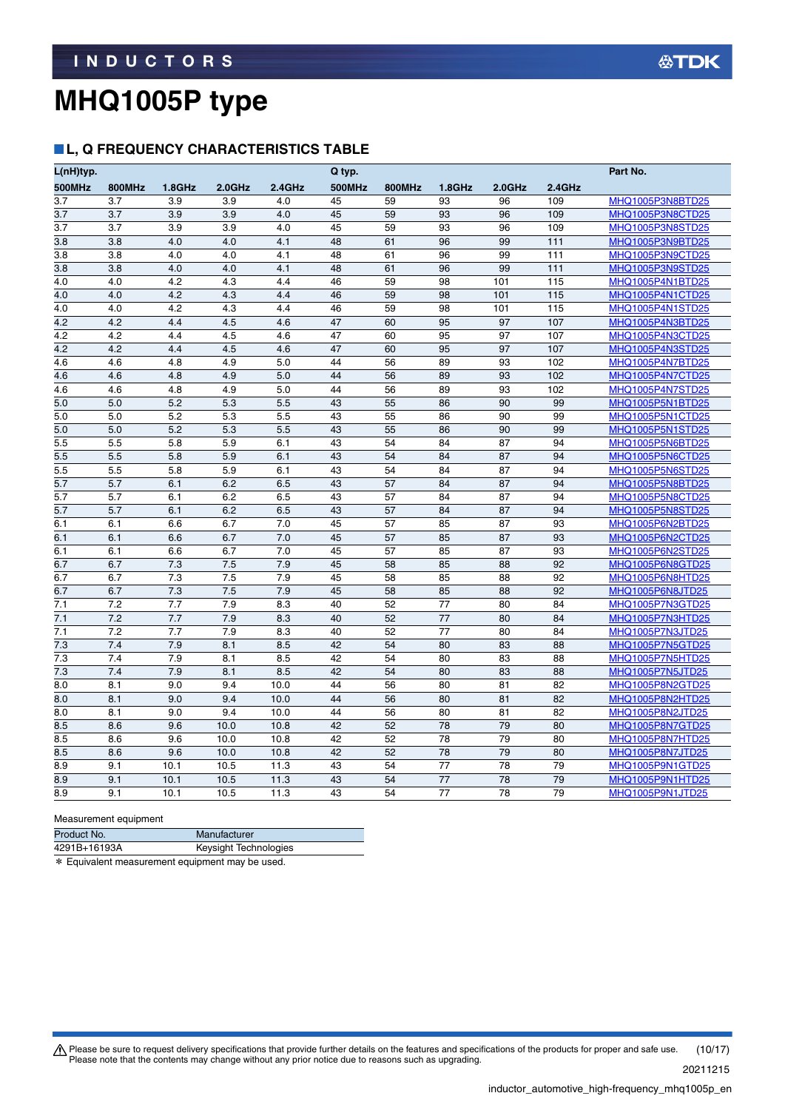### **L, Q FREQUENCY CHARACTERISTICS TABLE**

| L(nH)typ.  |               |            |            |            | Q typ.        |               |           |           |           | Part No.                                    |
|------------|---------------|------------|------------|------------|---------------|---------------|-----------|-----------|-----------|---------------------------------------------|
| 500MHz     | <b>800MHz</b> | $1.8$ GHz  | $2.0$ GHz  | $2.4$ GHz  | <b>500MHz</b> | <b>800MHz</b> | $1.8$ GHz | $2.0$ GHz | $2.4$ GHz |                                             |
| 3.7        | 3.7           | 3.9        | 3.9        | 4.0        | 45            | 59            | 93        | 96        | 109       | MHQ1005P3N8BTD25                            |
| 3.7        | 3.7           | 3.9        | 3.9        | 4.0        | 45            | 59            | 93        | 96        | 109       | MHQ1005P3N8CTD25                            |
| 3.7        | 3.7           | 3.9        | 3.9        | 4.0        | 45            | 59            | 93        | 96        | 109       | <b>MHQ1005P3N8STD25</b>                     |
| 3.8        | 3.8           | 4.0        | 4.0        | 4.1        | 48            | 61            | 96        | 99        | 111       | MHQ1005P3N9BTD25                            |
| 3.8        | 3.8           | 4.0        | 4.0        | 4.1        | 48            | 61            | 96        | 99        | 111       | MHQ1005P3N9CTD25                            |
| 3.8        | 3.8           | 4.0        | 4.0        | 4.1        | 48            | 61            | 96        | 99        | 111       | MHQ1005P3N9STD25                            |
| 4.0        | 4.0           | 4.2        | 4.3        | 4.4        | 46            | 59            | 98        | 101       | 115       | MHQ1005P4N1BTD25                            |
| 4.0        | 4.0           | 4.2        | 4.3        | 4.4        | 46            | 59            | 98        | 101       | 115       | MHQ1005P4N1CTD25                            |
| 4.0        | 4.0           | 4.2        | 4.3        | 4.4        | 46            | 59            | 98        | 101       | 115       | MHQ1005P4N1STD25                            |
| 4.2        | 4.2           | 4.4        | 4.5        | 4.6        | 47            | 60            | 95        | 97        | 107       | MHQ1005P4N3BTD25                            |
| 4.2        | 4.2           | 4.4        | 4.5        | 4.6        | 47            | 60            | 95        | 97        | 107       | MHQ1005P4N3CTD25                            |
| 4.2        | 4.2           | 4.4        | 4.5        | 4.6        | 47            | 60            | 95        | 97        | 107       | MHQ1005P4N3STD25                            |
| 4.6        | 4.6           | 4.8        | 4.9        | 5.0        | 44            | 56            | 89        | 93        | 102       | MHQ1005P4N7BTD25                            |
| 4.6        | 4.6           | 4.8        | 4.9        | 5.0        | 44            | 56            | 89        | 93        | 102       | MHQ1005P4N7CTD25                            |
| 4.6        | 4.6           | 4.8        | 4.9        | 5.0        | 44            | 56            | 89        | 93        | 102       | MHQ1005P4N7STD25                            |
| 5.0        | 5.0           | 5.2        | 5.3        | 5.5        | 43            | 55            | 86        | 90        | 99        | <b>MHQ1005P5N1BTD25</b>                     |
| 5.0        | 5.0           | 5.2        | 5.3        | 5.5        | 43            | 55            | 86        | 90        | 99        | MHQ1005P5N1CTD25                            |
| 5.0        | 5.0           | 5.2        | 5.3        | 5.5        | 43            | 55            | 86        | 90        | 99        | <b>MHQ1005P5N1STD25</b>                     |
| 5.5        | 5.5           | 5.8        | 5.9        | 6.1        | 43            | 54            | 84        | 87        | 94        | MHQ1005P5N6BTD25                            |
| 5.5        | 5.5           | 5.8        | 5.9        | 6.1        | 43            | 54            | 84        | 87        | 94        | MHQ1005P5N6CTD25                            |
| 5.5        | 5.5           | 5.8        | 5.9        | 6.1        | 43            | 54            | 84        | 87        | 94        | MHQ1005P5N6STD25                            |
| 5.7        | 5.7           | 6.1        | 6.2        | 6.5        | 43            | 57            | 84        | 87        | 94        | MHQ1005P5N8BTD25                            |
| 5.7        | 5.7           | 6.1        | 6.2        | 6.5        | 43            | 57            | 84        | 87        | 94        | MHQ1005P5N8CTD25                            |
| 5.7        | 5.7           | 6.1        | 6.2        | 6.5        | 43            | 57            | 84        | 87        | 94        | MHQ1005P5N8STD25                            |
| 6.1        | 6.1           | 6.6        | 6.7        | 7.0        | 45            | 57            | 85        | 87        | 93        | MHQ1005P6N2BTD25                            |
| 6.1        | 6.1           | 6.6        | 6.7        | 7.0        | 45            | 57            | 85        | 87        | 93        | MHQ1005P6N2CTD25                            |
| 6.1        | 6.1           | 6.6        | 6.7        | 7.0        | 45            | 57            | 85        | 87        | 93        | MHQ1005P6N2STD25                            |
| 6.7        | 6.7           | 7.3<br>7.3 | 7.5        | 7.9<br>7.9 | 45            | 58            | 85        | 88        | 92        | MHQ1005P6N8GTD25                            |
| 6.7<br>6.7 | 6.7           | 7.3        | 7.5<br>7.5 | 7.9        | 45<br>45      | 58<br>58      | 85        | 88<br>88  | 92<br>92  | MHQ1005P6N8HTD25                            |
| 7.1        | 6.7<br>7.2    | 7.7        | 7.9        | 8.3        | 40            | 52            | 85<br>77  | 80        | 84        | MHQ1005P6N8JTD25                            |
| 7.1        | 7.2           | 7.7        | 7.9        | 8.3        | 40            | 52            | 77        | 80        | 84        | <b>MHQ1005P7N3GTD25</b><br>MHQ1005P7N3HTD25 |
| 7.1        | 7.2           | 7.7        | 7.9        | 8.3        | 40            | 52            | 77        | 80        | 84        | MHQ1005P7N3JTD25                            |
| 7.3        | 7.4           | 7.9        | 8.1        | 8.5        | 42            | 54            | 80        | 83        | 88        | MHQ1005P7N5GTD25                            |
| 7.3        | 7.4           | 7.9        | 8.1        | 8.5        | 42            | 54            | 80        | 83        | 88        | MHQ1005P7N5HTD25                            |
| 7.3        | 7.4           | 7.9        | 8.1        | 8.5        | 42            | 54            | 80        | 83        | 88        | MHQ1005P7N5JTD25                            |
| 8.0        | 8.1           | 9.0        | 9.4        | 10.0       | 44            | 56            | 80        | 81        | 82        | MHQ1005P8N2GTD25                            |
| 8.0        | 8.1           | 9.0        | 9.4        | 10.0       | 44            | 56            | 80        | 81        | 82        | MHQ1005P8N2HTD25                            |
| 8.0        | 8.1           | 9.0        | 9.4        | 10.0       | 44            | 56            | 80        | 81        | 82        | MHQ1005P8N2JTD25                            |
| 8.5        | 8.6           | 9.6        | 10.0       | 10.8       | 42            | 52            | 78        | 79        | 80        | MHQ1005P8N7GTD25                            |
| 8.5        | 8.6           | 9.6        | 10.0       | 10.8       | 42            | 52            | 78        | 79        | 80        | MHQ1005P8N7HTD25                            |
| 8.5        | 8.6           | 9.6        | 10.0       | 10.8       | 42            | 52            | 78        | 79        | 80        | MHQ1005P8N7JTD25                            |
| 8.9        | 9.1           | 10.1       | 10.5       | 11.3       | 43            | 54            | 77        | 78        | 79        | MHQ1005P9N1GTD25                            |
| 8.9        | 9.1           | 10.1       | 10.5       | 11.3       | 43            | 54            | 77        | 78        | 79        | MHQ1005P9N1HTD25                            |
| 8.9        | 9.1           | 10.1       | 10.5       | 11.3       | 43            | 54            | 77        | 78        | 79        | MHQ1005P9N1JTD25                            |
|            |               |            |            |            |               |               |           |           |           |                                             |

Measurement equipment

| Product No.  | Manufacturer          |
|--------------|-----------------------|
| 4291B+16193A | Keysight Technologies |
|              |                       |

\* Equivalent measurement equipment may be used.

Please be sure to request delivery specifications that provide further details on the features and specifications of the products for proper and safe use.<br>Please note that the contents may change without any prior notice d 20211215 (10/17)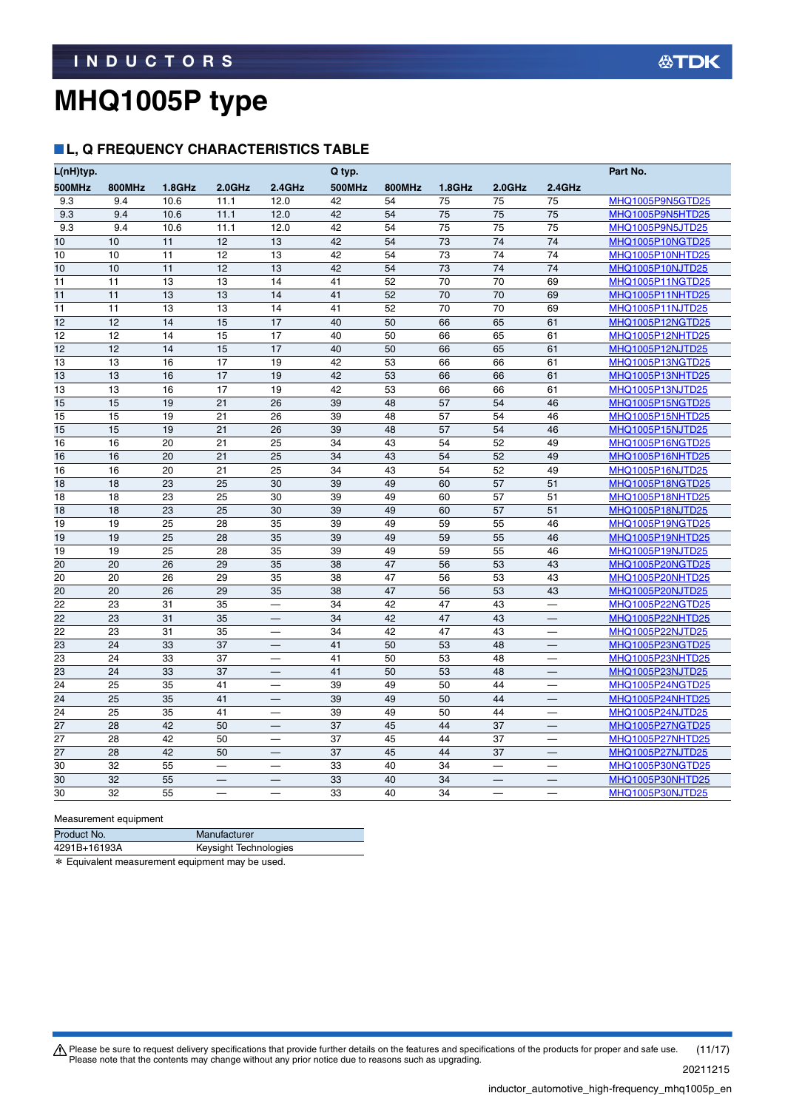### **L, Q FREQUENCY CHARACTERISTICS TABLE**

| L(nH)typ.       |               |        |           |                          | Q typ.        |               |        |           |                                  | Part No.         |
|-----------------|---------------|--------|-----------|--------------------------|---------------|---------------|--------|-----------|----------------------------------|------------------|
| 500MHz          | <b>800MHz</b> | 1.8GHz | $2.0$ GHz | 2.4GHz                   | <b>500MHz</b> | <b>800MHz</b> | 1.8GHz | $2.0$ GHz | 2.4GHz                           |                  |
| 9.3             | 9.4           | 10.6   | 11.1      | 12.0                     | 42            | 54            | 75     | 75        | 75                               | MHQ1005P9N5GTD25 |
| 9.3             | 9.4           | 10.6   | 11.1      | 12.0                     | 42            | 54            | 75     | 75        | 75                               | MHQ1005P9N5HTD25 |
| 9.3             | 9.4           | 10.6   | 11.1      | 12.0                     | 42            | 54            | 75     | 75        | 75                               | MHQ1005P9N5JTD25 |
| 10              | 10            | 11     | 12        | 13                       | 42            | 54            | 73     | 74        | 74                               | MHQ1005P10NGTD25 |
| 10              | 10            | 11     | 12        | 13                       | 42            | 54            | 73     | 74        | 74                               | MHQ1005P10NHTD25 |
| 10              | 10            | 11     | 12        | 13                       | 42            | 54            | 73     | 74        | 74                               | MHQ1005P10NJTD25 |
| 11              | 11            | 13     | 13        | 14                       | 41            | 52            | 70     | 70        | 69                               | MHQ1005P11NGTD25 |
| 11              | 11            | 13     | 13        | 14                       | 41            | 52            | 70     | 70        | 69                               | MHQ1005P11NHTD25 |
| 11              | 11            | 13     | 13        | 14                       | 41            | 52            | 70     | 70        | 69                               | MHQ1005P11NJTD25 |
| 12              | 12            | 14     | 15        | 17                       | 40            | 50            | 66     | 65        | 61                               | MHQ1005P12NGTD25 |
| 12              | 12            | 14     | 15        | 17                       | 40            | 50            | 66     | 65        | 61                               | MHQ1005P12NHTD25 |
| 12              | 12            | 14     | 15        | 17                       | 40            | 50            | 66     | 65        | 61                               | MHQ1005P12NJTD25 |
| 13              | 13            | 16     | 17        | 19                       | 42            | 53            | 66     | 66        | 61                               | MHQ1005P13NGTD25 |
| 13              | 13            | 16     | 17        | 19                       | 42            | 53            | 66     | 66        | 61                               | MHQ1005P13NHTD25 |
| 13              | 13            | 16     | 17        | 19                       | 42            | 53            | 66     | 66        | 61                               | MHQ1005P13NJTD25 |
| 15              | 15            | 19     | 21        | 26                       | 39            | 48            | 57     | 54        | 46                               | MHQ1005P15NGTD25 |
| 15              | 15            | 19     | 21        | 26                       | 39            | 48            | 57     | 54        | 46                               | MHQ1005P15NHTD25 |
| 15              | 15            | 19     | 21        | 26                       | 39            | 48            | 57     | 54        | 46                               | MHQ1005P15NJTD25 |
| 16              | 16            | 20     | 21        | 25                       | 34            | 43            | 54     | 52        | 49                               | MHQ1005P16NGTD25 |
| 16              | 16            | 20     | 21        | 25                       | 34            | 43            | 54     | 52        | 49                               | MHQ1005P16NHTD25 |
| 16              | 16            | 20     | 21        | 25                       | 34            | 43            | 54     | 52        | 49                               | MHQ1005P16NJTD25 |
| 18              | 18            | 23     | 25        | 30                       | 39            | 49            | 60     | 57        | 51                               | MHQ1005P18NGTD25 |
| 18              | 18            | 23     | 25        | 30                       | 39            | 49            | 60     | 57        | 51                               | MHQ1005P18NHTD25 |
| 18              | 18            | 23     | 25        | 30                       | 39            | 49            | 60     | 57        | 51                               | MHQ1005P18NJTD25 |
| 19              | 19            | 25     | 28        | 35                       | 39            | 49            | 59     | 55        | 46                               | MHQ1005P19NGTD25 |
| 19              | 19            | 25     | 28        | 35                       | 39            | 49            | 59     | 55        | 46                               | MHQ1005P19NHTD25 |
| 19              | 19            | 25     | 28        | 35                       | 39            | 49            | 59     | 55        | 46                               | MHQ1005P19NJTD25 |
| 20              | 20            | 26     | 29        | 35                       | 38            | 47            | 56     | 53        | 43                               | MHQ1005P20NGTD25 |
| 20              | 20            | 26     | 29        | 35                       | 38            | 47            | 56     | 53        | 43                               | MHQ1005P20NHTD25 |
| 20              | 20            | 26     | 29        | 35                       | 38            | 47            | 56     | 53        | 43                               | MHQ1005P20NJTD25 |
| 22              | 23            | 31     | 35        |                          | 34            | 42            | 47     | 43        |                                  | MHQ1005P22NGTD25 |
| 22              | 23            | 31     | 35        | $\overline{\phantom{0}}$ | 34            | 42            | 47     | 43        | $\qquad \qquad$                  | MHQ1005P22NHTD25 |
| 22              | 23            | 31     | 35        |                          | 34            | 42            | 47     | 43        |                                  | MHQ1005P22NJTD25 |
| 23              | 24            | 33     | 37        |                          | 41            | 50            | 53     | 48        |                                  | MHQ1005P23NGTD25 |
| 23              | 24            | 33     | 37        |                          | 41            | 50            | 53     | 48        |                                  | MHQ1005P23NHTD25 |
| $\overline{23}$ | 24            | 33     | 37        |                          | 41            | 50            | 53     | 48        |                                  | MHQ1005P23NJTD25 |
| 24              | 25            | 35     | 41        | $\overline{\phantom{0}}$ | 39            | 49            | 50     | 44        | $\overbrace{\phantom{12322111}}$ | MHQ1005P24NGTD25 |
| 24              | 25            | 35     | 41        |                          | 39            | 49            | 50     | 44        |                                  | MHQ1005P24NHTD25 |
| 24              | 25            | 35     | 41        | $\overline{\phantom{0}}$ | 39            | 49            | 50     | 44        |                                  | MHQ1005P24NJTD25 |
| 27              | 28            | 42     | 50        | —                        | 37            | 45            | 44     | 37        | $\overline{\phantom{0}}$         | MHQ1005P27NGTD25 |
| 27              | 28            | 42     | 50        |                          | 37            | 45            | 44     | 37        | $\overline{\phantom{0}}$         | MHQ1005P27NHTD25 |
| 27              | 28            | 42     | 50        |                          | 37            | 45            | 44     | 37        |                                  | MHQ1005P27NJTD25 |
| 30              | 32            | 55     |           |                          | 33            | 40            | 34     | —         |                                  | MHQ1005P30NGTD25 |
| 30              | 32            | 55     |           |                          | 33            | 40            | 34     |           |                                  | MHQ1005P30NHTD25 |
| 30              | 32            | 55     |           |                          | 33            | 40            | 34     |           |                                  | MHQ1005P30NJTD25 |

Measurement equipment

| Product No.  | Manufacturer          |
|--------------|-----------------------|
| 4291B+16193A | Keysight Technologies |
|              |                       |

\* Equivalent measurement equipment may be used.

Please be sure to request delivery specifications that provide further details on the features and specifications of the products for proper and safe use.<br>Please note that the contents may change without any prior notice d 20211215 (11/17)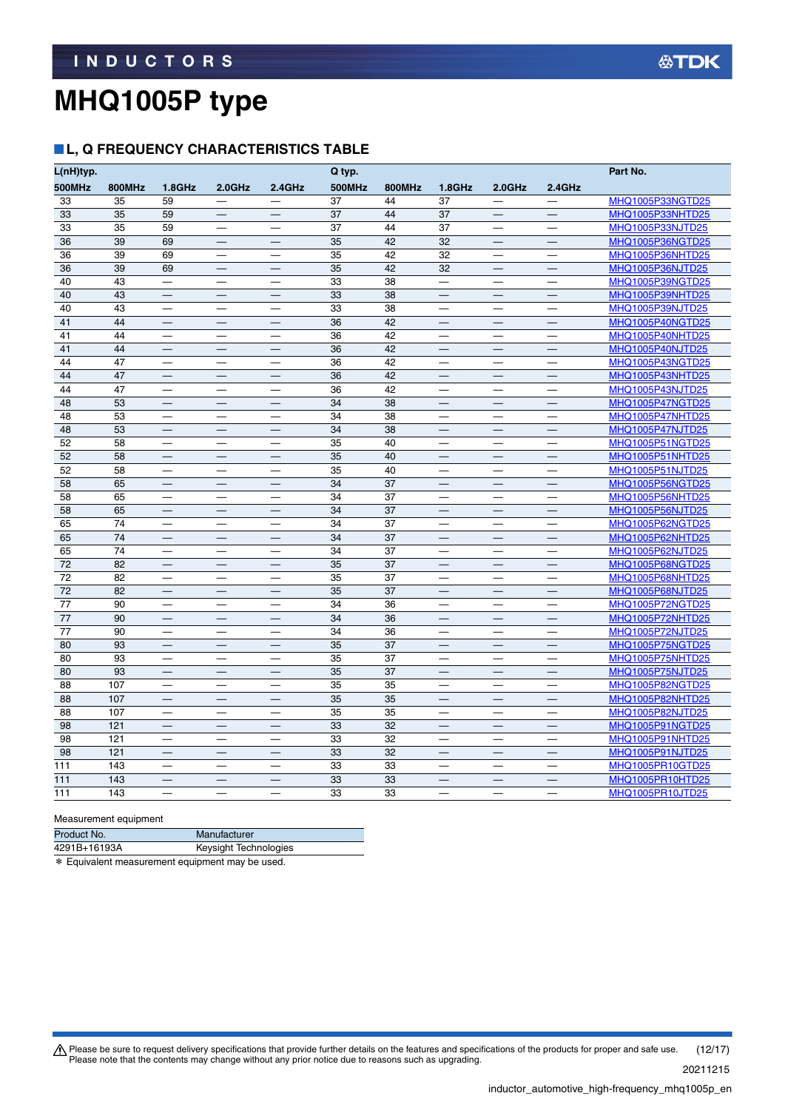### **L, Q FREQUENCY CHARACTERISTICS TABLE**

| L(nH)typ. |               |                                  |                          |                          | Q typ.        |               |                                  |                          |                                  | Part No.                |
|-----------|---------------|----------------------------------|--------------------------|--------------------------|---------------|---------------|----------------------------------|--------------------------|----------------------------------|-------------------------|
| 500MHz    | <b>800MHz</b> | $1.8$ GHz                        | $2.0$ GHz                | 2.4GHz                   | <b>500MHz</b> | <b>800MHz</b> | $1.8$ GHz                        | $2.0$ GHz                | 2.4GHz                           |                         |
| 33        | 35            | 59                               |                          | $\qquad \qquad -$        | 37            | 44            | 37                               |                          |                                  | MHQ1005P33NGTD25        |
| 33        | 35            | 59                               |                          |                          | 37            | 44            | 37                               |                          |                                  | MHQ1005P33NHTD25        |
| 33        | 35            | 59                               | $\overline{\phantom{0}}$ |                          | 37            | 44            | 37                               | $\qquad \qquad$          |                                  | MHQ1005P33NJTD25        |
| 36        | 39            | 69                               |                          | $\overline{\phantom{0}}$ | 35            | 42            | 32                               |                          |                                  | MHQ1005P36NGTD25        |
| 36        | 39            | 69                               |                          | $\overline{\phantom{0}}$ | 35            | 42            | 32                               | $\overline{\phantom{0}}$ |                                  | MHQ1005P36NHTD25        |
| 36        | 39            | 69                               |                          |                          | 35            | 42            | 32                               | $\overline{\phantom{0}}$ |                                  | MHQ1005P36NJTD25        |
| 40        | 43            | $\overline{\phantom{0}}$         |                          |                          | 33            | 38            | $\overline{\phantom{0}}$         |                          |                                  | MHQ1005P39NGTD25        |
| 40        | 43            | $\qquad \qquad -$                |                          | $\qquad \qquad$          | 33            | 38            |                                  | $\qquad \qquad -$        | $\qquad \qquad$                  | MHQ1005P39NHTD25        |
| 40        | 43            |                                  |                          | —                        | 33            | 38            | $\overline{\phantom{0}}$         |                          |                                  | MHQ1005P39NJTD25        |
| 41        | 44            |                                  |                          | $\overline{\phantom{0}}$ | 36            | 42            | $\overline{\phantom{0}}$         |                          |                                  | MHQ1005P40NGTD25        |
| 41        | 44            |                                  |                          |                          | 36            | 42            | $\overline{\phantom{0}}$         |                          |                                  | MHQ1005P40NHTD25        |
| 41        | 44            |                                  |                          |                          | 36            | 42            |                                  |                          |                                  | MHQ1005P40NJTD25        |
| 44        | 47            |                                  | $\overline{\phantom{0}}$ | —                        | 36            | 42            | $\overline{\phantom{0}}$         | $\overline{\phantom{0}}$ | $\overbrace{\phantom{13333}}$    | MHQ1005P43NGTD25        |
| 44        | 47            |                                  |                          |                          | 36            | 42            |                                  |                          |                                  | MHQ1005P43NHTD25        |
| 44        | 47            |                                  |                          |                          | 36            | 42            | $\overbrace{\phantom{12322111}}$ | $\overline{\phantom{m}}$ | $\overbrace{\phantom{12322111}}$ | MHQ1005P43NJTD25        |
| 48        | 53            | $\overline{\phantom{0}}$         |                          |                          | 34            | 38            | $\overline{\phantom{0}}$         | $\overline{\phantom{0}}$ |                                  | MHQ1005P47NGTD25        |
| 48        | 53            |                                  |                          |                          | 34            | 38            |                                  |                          |                                  | <b>MHQ1005P47NHTD25</b> |
| 48        | 53            |                                  |                          |                          | 34            | 38            | $\overline{\phantom{0}}$         | $\overline{\phantom{0}}$ |                                  | <b>MHQ1005P47NJTD25</b> |
| 52        | 58            |                                  |                          |                          | 35            | 40            |                                  |                          |                                  | <b>MHQ1005P51NGTD25</b> |
| 52        | 58            | $\qquad \qquad -$                | $\qquad \qquad -$        | $\overline{\phantom{m}}$ | 35            | 40            | $\overline{\phantom{0}}$         | $\qquad \qquad -$        | $\qquad \qquad -$                | <b>MHQ1005P51NHTD25</b> |
| 52        | 58            |                                  |                          |                          | 35            | 40            |                                  |                          |                                  | <b>MHQ1005P51NJTD25</b> |
| 58        | 65            |                                  |                          |                          | 34            | 37            | $\overline{\phantom{0}}$         |                          |                                  | <b>MHQ1005P56NGTD25</b> |
| 58        | 65            |                                  |                          |                          | 34            | 37            |                                  |                          |                                  | MHQ1005P56NHTD25        |
| 58        | 65            |                                  |                          |                          | 34            | 37            |                                  |                          |                                  | MHQ1005P56NJTD25        |
| 65        | 74            |                                  |                          |                          | 34            | 37            | $\overline{\phantom{0}}$         |                          | $\overbrace{\phantom{12322111}}$ | MHQ1005P62NGTD25        |
| 65        | 74            |                                  |                          |                          | 34            | 37            |                                  |                          | $\overbrace{\phantom{123321}}$   | MHQ1005P62NHTD25        |
| 65        | 74            |                                  |                          |                          | 34            | 37            | $\overbrace{\phantom{12322111}}$ |                          |                                  | MHQ1005P62NJTD25        |
| 72        | 82            |                                  | $\equiv$                 |                          | 35            | 37            | $\overline{\phantom{0}}$         | $\overline{\phantom{0}}$ | $\overline{\phantom{0}}$         | <b>MHQ1005P68NGTD25</b> |
| 72        | 82            |                                  | $\overline{\phantom{0}}$ |                          | 35            | 37            |                                  | $\overline{\phantom{0}}$ | $\overline{\phantom{0}}$         | MHQ1005P68NHTD25        |
| 72        | 82            |                                  |                          |                          | 35            | 37            |                                  |                          |                                  | <b>MHQ1005P68NJTD25</b> |
| 77        | 90            |                                  |                          |                          | 34            | 36            |                                  |                          |                                  | MHQ1005P72NGTD25        |
| 77        | 90            |                                  | $\overline{\phantom{0}}$ |                          | 34            | 36            | $\qquad \qquad -$                | $\qquad \qquad -$        |                                  | <b>MHQ1005P72NHTD25</b> |
| 77        | 90            |                                  |                          |                          | 34            | 36            |                                  |                          |                                  | <b>MHQ1005P72NJTD25</b> |
| 80        | 93            |                                  |                          |                          | 35            | 37            |                                  |                          |                                  | MHQ1005P75NGTD25        |
| 80        | 93            | $\overline{\phantom{0}}$         | $\overline{\phantom{0}}$ | $\overline{\phantom{0}}$ | 35            | 37            | $\overline{\phantom{0}}$         | $\overline{\phantom{0}}$ | $\overline{\phantom{0}}$         | <b>MHQ1005P75NHTD25</b> |
| 80        | 93            |                                  |                          |                          | 35            | 37            |                                  |                          |                                  | MHQ1005P75NJTD25        |
| 88        | 107           |                                  |                          |                          | 35            | 35            | —                                | —                        |                                  | MHQ1005P82NGTD25        |
| 88        | 107           |                                  |                          |                          | 35            | 35            |                                  |                          |                                  | MHQ1005P82NHTD25        |
| 88        | 107           | $\overbrace{\phantom{12322111}}$ |                          |                          | 35            | 35            |                                  | $\overline{\phantom{0}}$ | $\overbrace{\phantom{12322111}}$ | MHQ1005P82NJTD25        |
| 98        | 121           |                                  |                          |                          | 33            | 32            |                                  |                          |                                  | MHQ1005P91NGTD25        |
| 98        | 121           |                                  |                          |                          | 33            | 32            | $\overline{\phantom{0}}$         | $\overline{\phantom{0}}$ | $\overline{\phantom{0}}$         | MHQ1005P91NHTD25        |
| 98        | 121           |                                  |                          |                          | 33            | 32            |                                  |                          |                                  | <b>MHQ1005P91NJTD25</b> |
| 111       | 143           |                                  |                          |                          | 33            | 33            |                                  |                          |                                  | MHQ1005PR10GTD25        |
| 111       | 143           |                                  |                          |                          | 33            | 33            |                                  |                          |                                  | MHQ1005PR10HTD25        |
| 111       | 143           |                                  |                          |                          | 33            | 33            |                                  |                          |                                  | MHQ1005PR10JTD25        |

Measurement equipment

| Product No.  | Manufacturer          |
|--------------|-----------------------|
| 4291B+16193A | Keysight Technologies |
|              |                       |

\* Equivalent measurement equipment may be used.

Please be sure to request delivery specifications that provide further details on the features and specifications of the products for proper and safe use.<br>Please note that the contents may change without any prior notice d 20211215 (12/17)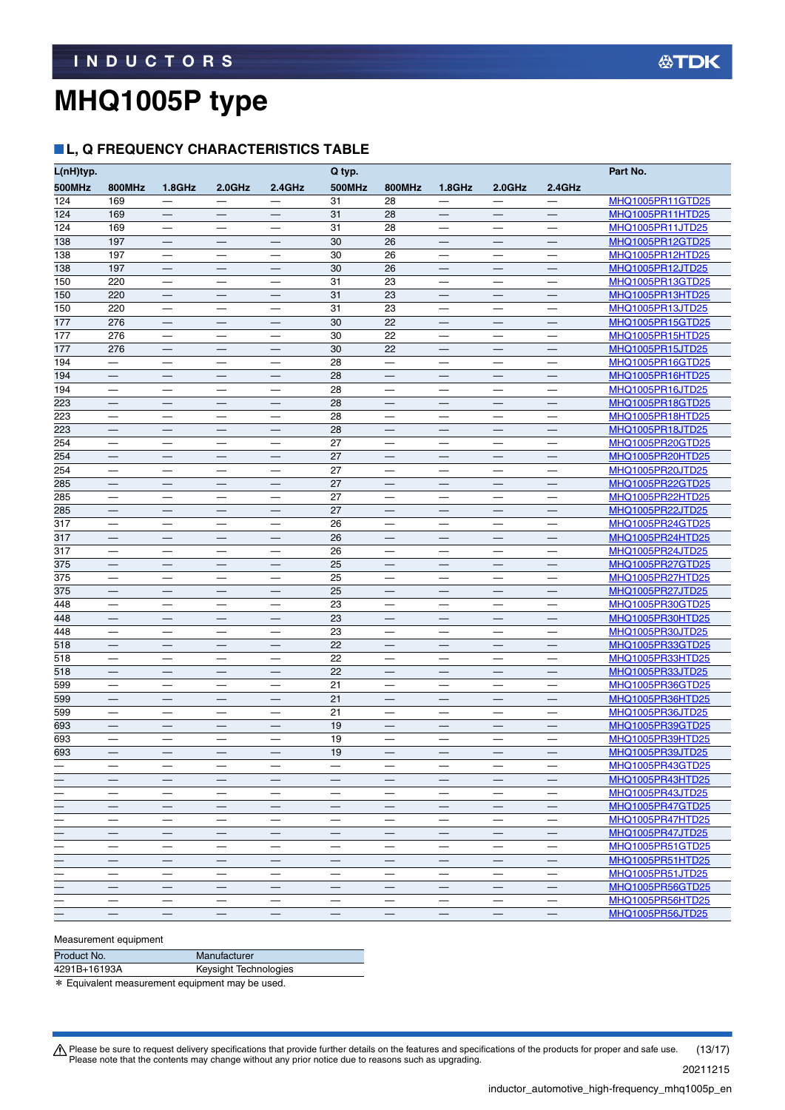### **L, Q FREQUENCY CHARACTERISTICS TABLE**

| L(nH)typ.                |                               |                               |                                  |                               | Q typ.                   |                                  |                                  |                                   |                          | Part No.                             |
|--------------------------|-------------------------------|-------------------------------|----------------------------------|-------------------------------|--------------------------|----------------------------------|----------------------------------|-----------------------------------|--------------------------|--------------------------------------|
| 500MHz                   | <b>800MHz</b>                 | 1.8GHz                        | $2.0$ GHz                        | 2.4GHz                        | <b>500MHz</b>            | <b>800MHz</b>                    | 1.8GHz                           | $2.0$ GHz                         | 2.4GHz                   |                                      |
| 124                      | 169                           |                               |                                  |                               | 31                       | 28                               |                                  |                                   |                          | MHQ1005PR11GTD25                     |
| 124                      | 169                           |                               |                                  |                               | 31                       | 28                               | $\qquad \qquad -$                | $\qquad \qquad$                   | $\qquad \qquad -$        | MHQ1005PR11HTD25                     |
| 124                      | 169                           |                               | $\overbrace{\phantom{123321}}$   |                               | 31                       | 28                               |                                  |                                   | —                        | MHQ1005PR11JTD25                     |
| 138                      | 197                           |                               |                                  |                               | 30                       | 26                               |                                  |                                   |                          | MHQ1005PR12GTD25                     |
| 138                      | 197                           |                               | $\overline{\phantom{0}}$         | $\overline{\phantom{0}}$      | 30                       | 26                               |                                  | $\overline{\phantom{0}}$          | $\overline{\phantom{0}}$ | MHQ1005PR12HTD25                     |
| 138                      | 197                           | $\qquad \qquad -$             |                                  | $\overline{\phantom{0}}$      | 30                       | 26                               |                                  |                                   |                          | MHQ1005PR12JTD25                     |
| 150                      | 220                           |                               |                                  |                               | 31                       | 23                               | $\overline{\phantom{0}}$         |                                   |                          | MHQ1005PR13GTD25                     |
| 150                      | 220                           |                               |                                  |                               | 31                       | 23                               |                                  |                                   |                          | MHQ1005PR13HTD25                     |
| 150                      | 220                           |                               |                                  |                               | 31                       | 23                               | $\overline{\phantom{0}}$         |                                   |                          | MHQ1005PR13JTD25                     |
| 177                      | 276                           |                               |                                  |                               | 30                       | 22                               |                                  |                                   |                          | MHQ1005PR15GTD25                     |
| 177                      | 276                           |                               |                                  |                               | 30                       | 22                               |                                  |                                   |                          | MHQ1005PR15HTD25                     |
| 177                      | 276                           | $\qquad \qquad -$             | $\qquad \qquad -$                |                               | 30                       | 22                               | $\qquad \qquad -$                | $\overline{\phantom{m}}$          |                          | MHQ1005PR15JTD25                     |
| 194                      |                               |                               |                                  |                               | 28                       | $\overline{\phantom{0}}$         |                                  | —                                 |                          | MHQ1005PR16GTD25                     |
| 194                      |                               |                               |                                  |                               | 28                       |                                  |                                  |                                   |                          | MHQ1005PR16HTD25                     |
| 194                      |                               |                               |                                  | $\overline{\phantom{0}}$      | 28                       | $\overline{\phantom{0}}$         |                                  | $\overbrace{\phantom{123221111}}$ |                          | MHQ1005PR16JTD25                     |
| 223                      |                               | $\qquad \qquad -$             |                                  |                               | 28                       | $\qquad \qquad -$                |                                  |                                   |                          | MHQ1005PR18GTD25                     |
| 223                      | —                             | —                             | $\overline{\phantom{0}}$         | —                             | 28                       | —                                | —                                |                                   |                          | MHQ1005PR18HTD25                     |
| 223                      |                               |                               |                                  |                               | 28                       |                                  |                                  |                                   |                          | MHQ1005PR18JTD25                     |
| 254                      |                               |                               |                                  |                               | 27                       |                                  |                                  |                                   |                          | <u>MHQ1005PR20GTD25</u>              |
| 254                      |                               |                               |                                  |                               | 27                       |                                  |                                  |                                   |                          | <u>MHQ1005PR20HTD25</u>              |
| 254                      |                               |                               |                                  |                               | 27                       |                                  |                                  |                                   |                          | MHQ1005PR20JTD25                     |
| 285                      | $\overline{\phantom{0}}$      |                               |                                  | —                             | 27                       |                                  |                                  | $\qquad \qquad$                   | $\overline{\phantom{0}}$ | MHQ1005PR22GTD25                     |
| 285                      | $\overline{\phantom{0}}$      | $\overline{\phantom{0}}$      | $\overline{\phantom{0}}$         | —                             | 27                       |                                  | $\overline{\phantom{0}}$         | $\overline{\phantom{0}}$          |                          | MHQ1005PR22HTD25                     |
| 285                      |                               |                               |                                  |                               | 27                       |                                  |                                  |                                   |                          | MHQ1005PR22JTD25                     |
| 317                      |                               |                               |                                  |                               | 26                       | $\overline{\phantom{0}}$         | $\overbrace{\phantom{12321111}}$ |                                   | $\overline{\phantom{0}}$ | MHQ1005PR24GTD25                     |
| 317                      | $\qquad \qquad -$             | $\overbrace{\phantom{13333}}$ | $\overline{\phantom{m}}$         | $\overline{\phantom{0}}$      | 26                       | $\overline{\phantom{m}}$         |                                  | $\qquad \qquad -$                 | $\qquad \qquad -$        | MHQ1005PR24HTD25                     |
| 317                      | —                             | $\overline{\phantom{0}}$      | $\overline{\phantom{0}}$         | —                             | 26                       | —                                | —                                | —                                 | $\overline{\phantom{0}}$ | MHQ1005PR24JTD25                     |
| 375                      |                               |                               |                                  |                               | 25                       |                                  |                                  |                                   |                          | MHQ1005PR27GTD25                     |
| 375                      |                               |                               | $\overbrace{\phantom{12322111}}$ |                               | 25<br>25                 | $\overline{\phantom{m}}$         |                                  |                                   |                          | <u>MHQ1005PR27HTD25</u>              |
| 375                      |                               |                               |                                  |                               | 23                       |                                  |                                  |                                   |                          | <u>MHQ1005PR27JTD25</u>              |
| 448<br>448               |                               |                               |                                  |                               | 23                       | $\overline{\phantom{0}}$         | —                                | —<br>—                            | $\overline{\phantom{0}}$ | MHQ1005PR30GTD25<br>MHQ1005PR30HTD25 |
| 448                      |                               |                               |                                  | —                             | 23                       | $\overline{\phantom{0}}$         |                                  | —                                 |                          | MHQ1005PR30JTD25                     |
| 518                      |                               |                               |                                  |                               | 22                       |                                  |                                  |                                   |                          | MHQ1005PR33GTD25                     |
| 518                      | $\overline{\phantom{0}}$      |                               | $\overline{\phantom{0}}$         | $\overline{\phantom{0}}$      | 22                       | $\overbrace{\phantom{12322111}}$ |                                  | $\overbrace{\phantom{12322111}}$  | $\overline{\phantom{0}}$ | MHQ1005PR33HTD25                     |
| 518                      | $\qquad \qquad -$             |                               | $\overline{\phantom{m}}$         |                               | 22                       | $\qquad \qquad -$                | $\overline{\phantom{0}}$         | $\qquad \qquad -$                 | $\overline{\phantom{m}}$ | MHQ1005PR33JTD25                     |
| 599                      | —                             | —                             | —                                | —                             | 21                       | $\overline{\phantom{0}}$         | —                                | —                                 |                          | MHQ1005PR36GTD25                     |
| 599                      |                               |                               |                                  |                               | 21                       |                                  |                                  |                                   |                          | MHQ1005PR36HTD25                     |
| 599                      |                               |                               |                                  |                               | 21                       | $\overline{\phantom{m}}$         |                                  |                                   |                          | MHQ1005PR36JTD25                     |
| 693                      |                               |                               |                                  |                               | 19                       |                                  |                                  |                                   |                          | MHQ1005PR39GTD25                     |
| 693                      |                               |                               |                                  |                               | 19                       |                                  |                                  |                                   |                          | MHQ1005PR39HTD25                     |
| 693                      |                               |                               |                                  |                               | 19                       |                                  |                                  |                                   |                          | MHQ1005PR39JTD25                     |
| $\overline{\phantom{0}}$ | $\overline{\phantom{m}}$      | $\qquad \qquad -$             | $\qquad \qquad$                  |                               | $\overline{\phantom{m}}$ | $\overline{\phantom{m}}$         | $\qquad \qquad \longleftarrow$   | $\qquad \qquad -$                 | $\overline{\phantom{m}}$ | MHQ1005PR43GTD25                     |
|                          |                               |                               |                                  |                               |                          |                                  |                                  |                                   |                          | MHQ1005PR43HTD25                     |
|                          |                               |                               |                                  |                               | $\qquad \qquad -$        | $\overline{\phantom{m}}$         |                                  | $\qquad \qquad -$                 | $\overline{\phantom{m}}$ | MHQ1005PR43JTD25                     |
|                          | $\overline{\phantom{m}}$      | $\qquad \qquad -$             | $\overline{\phantom{m}}$         |                               | $\overline{\phantom{m}}$ | $\overline{\phantom{m}}$         | $\qquad \qquad -$                | $\qquad \qquad -$                 | $\overline{\phantom{0}}$ | MHQ1005PR47GTD25                     |
|                          | —                             |                               | $\qquad \qquad$                  |                               | —                        | $\overbrace{\phantom{13333}}$    | $\overbrace{\phantom{13333}}$    | $\overline{\phantom{0}}$          |                          | MHQ1005PR47HTD25                     |
|                          | $\overline{\phantom{m}}$      | $\qquad \qquad -$             | $\qquad \qquad -$                | $\qquad \qquad$               | $\overline{\phantom{m}}$ | $\overline{\phantom{0}}$         | $\qquad \qquad -$                | $\overline{\phantom{0}}$          | $\qquad \qquad -$        | MHQ1005PR47JTD25                     |
|                          |                               |                               | $\hspace{0.1mm}-\hspace{0.1mm}$  |                               | $\overline{\phantom{m}}$ | $\overline{\phantom{0}}$         | $\overbrace{\phantom{13333}}$    | $\qquad \qquad -$                 | $\overline{\phantom{m}}$ | MHQ1005PR51GTD25                     |
|                          |                               | $\qquad \qquad -$             | $\qquad \qquad -$                | $\qquad \qquad -$             | $\qquad \qquad -$        |                                  |                                  | $\qquad \qquad -$                 |                          | MHQ1005PR51HTD25                     |
| —                        | $\overbrace{\phantom{13333}}$ | $\overbrace{\phantom{13333}}$ | $\overbrace{\phantom{13333}}$    | $\overbrace{\phantom{13333}}$ | $\overline{\phantom{0}}$ | $\overline{\phantom{m}}$         | $\overbrace{\phantom{13333}}$    | $\overbrace{\phantom{13333}}$     | $\overline{\phantom{m}}$ | MHQ1005PR51JTD25                     |
|                          |                               | $\qquad \qquad$               | $\qquad \qquad -$                | $\overline{\phantom{0}}$      | $\overline{\phantom{0}}$ |                                  |                                  |                                   | $\qquad \qquad -$        | MHQ1005PR56GTD25                     |
|                          | $\overline{\phantom{m}}$      | $\qquad \qquad -$             | $\overline{\phantom{m}}$         | $\qquad \qquad$               | $\overline{\phantom{0}}$ | $\overline{\phantom{m}}$         | $\qquad \qquad -$                | $\overline{\phantom{0}}$          | $\qquad \qquad -$        | MHQ1005PR56HTD25                     |
|                          |                               |                               |                                  |                               |                          |                                  |                                  | $\hspace{0.1mm}-\hspace{0.1mm}$   | $\overline{\phantom{m}}$ | MHQ1005PR56JTD25                     |
|                          |                               |                               |                                  |                               |                          |                                  |                                  |                                   |                          |                                      |

#### Measurement equipment

| Product No.  | Manufacturer          |
|--------------|-----------------------|
| 4291B+16193A | Keysight Technologies |
|              |                       |

\* Equivalent measurement equipment may be used.

Please be sure to request delivery specifications that provide further details on the features and specifications of the products for proper and safe use.<br>Please note that the contents may change without any prior notice d 20211215 (13/17)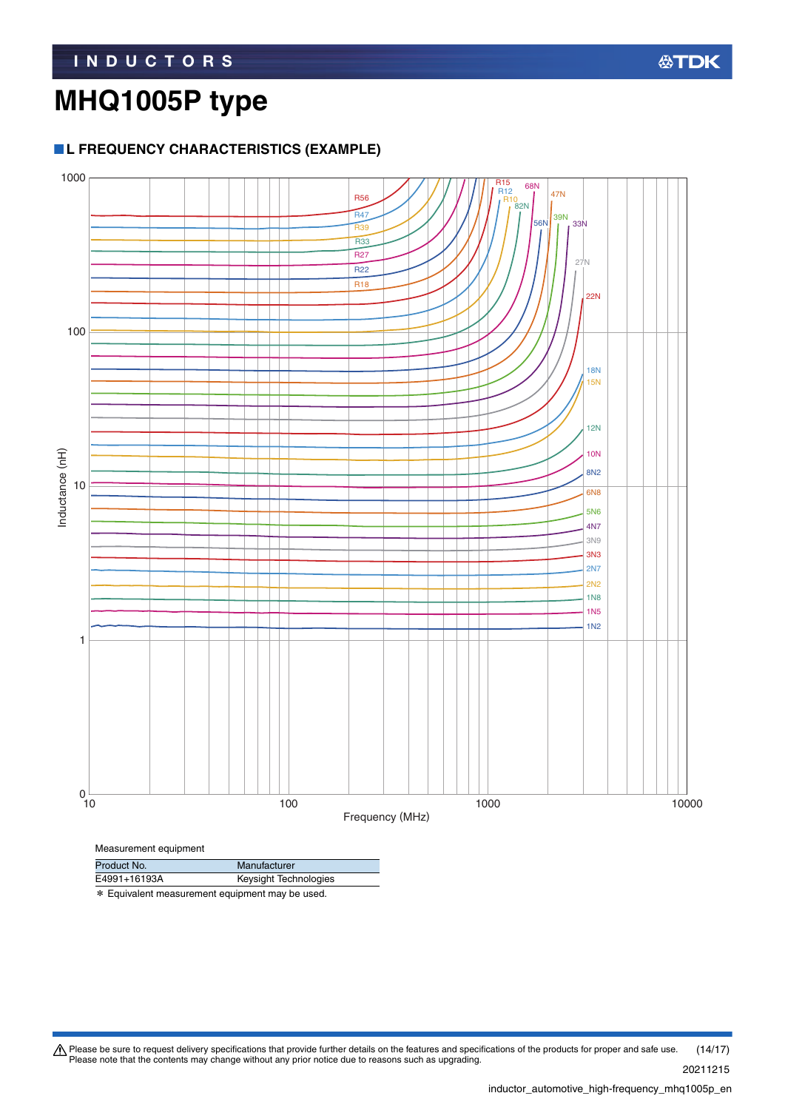### **L FREQUENCY CHARACTERISTICS (EXAMPLE)**

\* Equivalent measurement equipment may be used.

E4991+16193A Keysight Technologies



Please be sure to request delivery specifications that provide further details on the features and specifications of the products for proper and safe use.<br>Please note that the contents may change without any prior notice d 20211215 (14/17)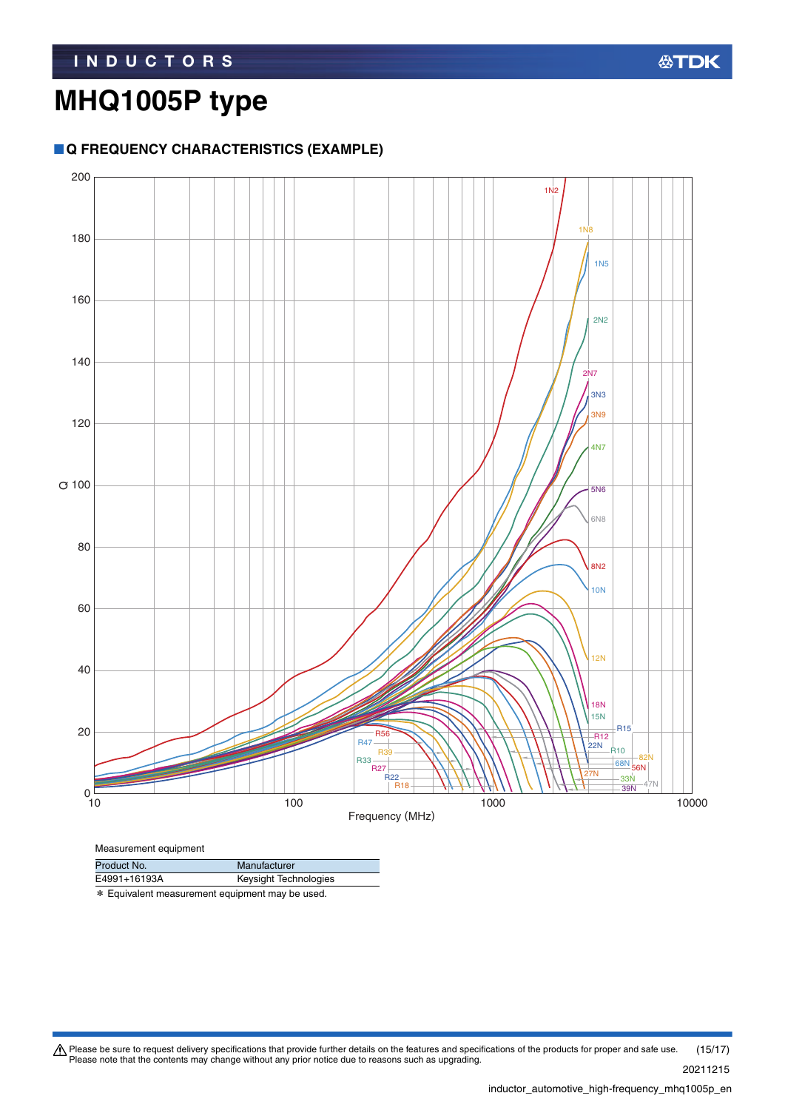### **Q FREQUENCY CHARACTERISTICS (EXAMPLE)**



Measurement equipment

| Product No.  | Manufacturer          |
|--------------|-----------------------|
| E4991+16193A | Keysight Technologies |

\* Equivalent measurement equipment may be used.

Please be sure to request delivery specifications that provide further details on the features and specifications of the products for proper and safe use.<br>Please note that the contents may change without any prior notice d 20211215 (15/17)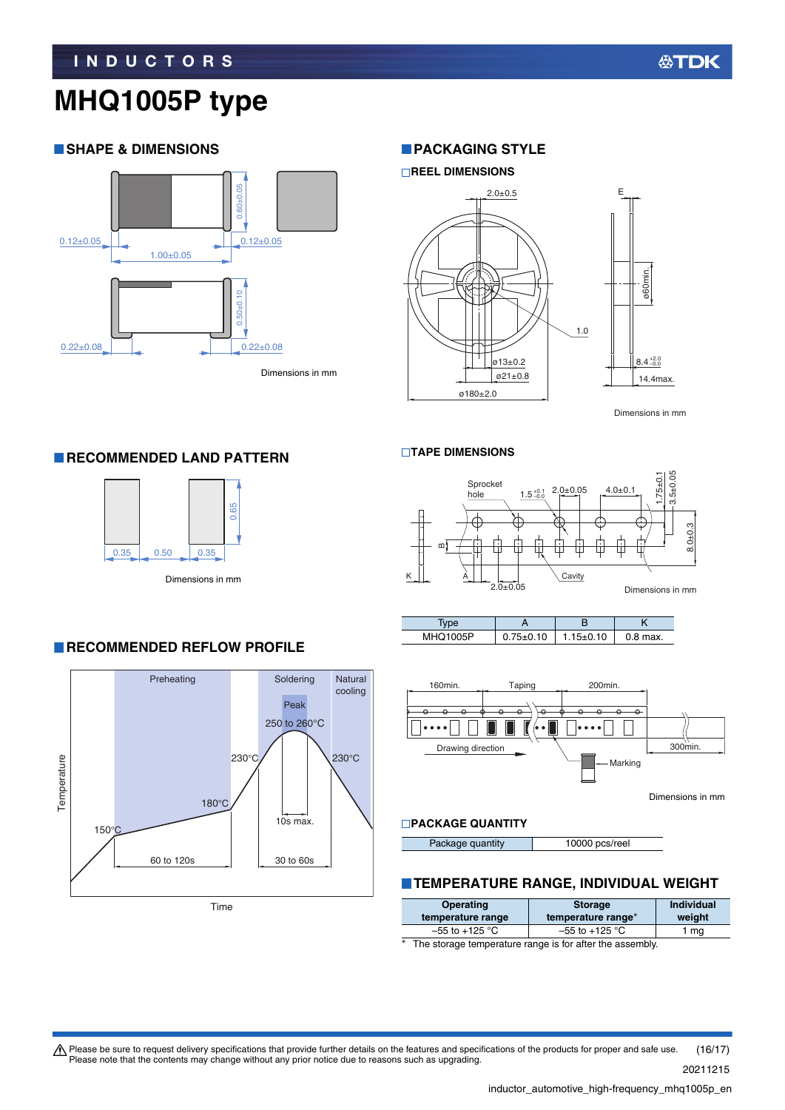### **SHAPE & DIMENSIONS**



Dimensions in mm

#### **PACKAGING STYLE**



Dimensions in mm

#### **TAPE DIMENSIONS**



| .vpe            |           |         |          |
|-----------------|-----------|---------|----------|
| <b>MHQ1005P</b> | $75+0.10$ | 15±0.10 | 0.8 max. |



#### **PACKAGE QUANTITY**

|  | Package quantity | 10000 pcs/reel |
|--|------------------|----------------|
|--|------------------|----------------|

#### **TEMPERATURE RANGE, INDIVIDUAL WEIGHT**

| Operating          | <b>Storage</b>     | Individual |
|--------------------|--------------------|------------|
| temperature range  | temperature range* | weight     |
| $-55$ to $+125$ °C | $-55$ to $+125$ °C |            |

The storage temperature range is for after the assembly.

 $\bigwedge$  Please be sure to request delivery specifications that provide further details on the features and specifications of the products for proper and safe use. Please note that the contents may change without any prior notice due to reasons such as upgrading. (16/17)

#### 20211215

#### inductor\_automotive\_high-frequency\_mhq1005p\_en.

#### **RECOMMENDED LAND PATTERN**



### **RECOMMENDED REFLOW PROFILE**